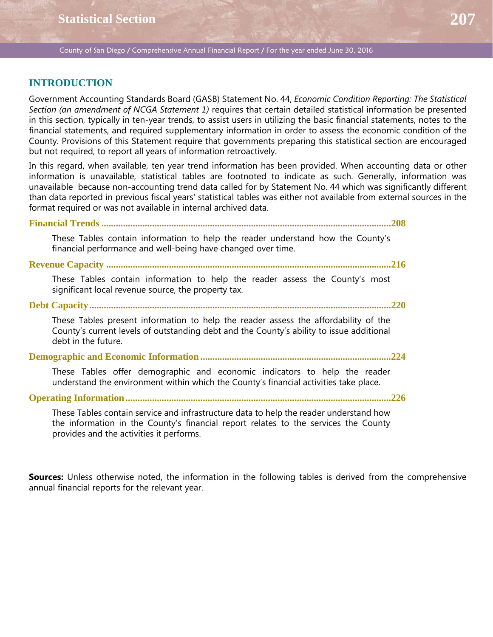# **INTRODUCTION**

Government Accounting Standards Board (GASB) Statement No. 44, *Economic Condition Reporting: The Statistical Section (an amendment of NCGA Statement 1)* requires that certain detailed statistical information be presented in this section, typically in ten-year trends, to assist users in utilizing the basic financial statements, notes to the financial statements, and required supplementary information in order to assess the economic condition of the County. Provisions of this Statement require that governments preparing this statistical section are encouraged but not required, to report all years of information retroactively.

In this regard, when available, ten year trend information has been provided. When accounting data or other information is unavailable, statistical tables are footnoted to indicate as such. Generally, information was unavailable because non-accounting trend data called for by Statement No. 44 which was significantly different than data reported in previous fiscal years' statistical tables was either not available from external sources in the format required or was not available in internal archived data.

**Financial Trends ........................................................................................................................208**

These Tables contain information to help the reader understand how the County's financial performance and well-being have changed over time.

**Revenue Capacity ......................................................................................................................216**

These Tables contain information to help the reader assess the County's most significant local revenue source, the property tax.

**Debt Capacity.............................................................................................................................220**

These Tables present information to help the reader assess the affordability of the County's current levels of outstanding debt and the County's ability to issue additional debt in the future.

**Demographic and Economic Information ...............................................................................224**

These Tables offer demographic and economic indicators to help the reader understand the environment within which the County's financial activities take place.

**Operating Information ..............................................................................................................226**

These Tables contain service and infrastructure data to help the reader understand how the information in the County's financial report relates to the services the County provides and the activities it performs.

**Sources:** Unless otherwise noted, the information in the following tables is derived from the comprehensive annual financial reports for the relevant year.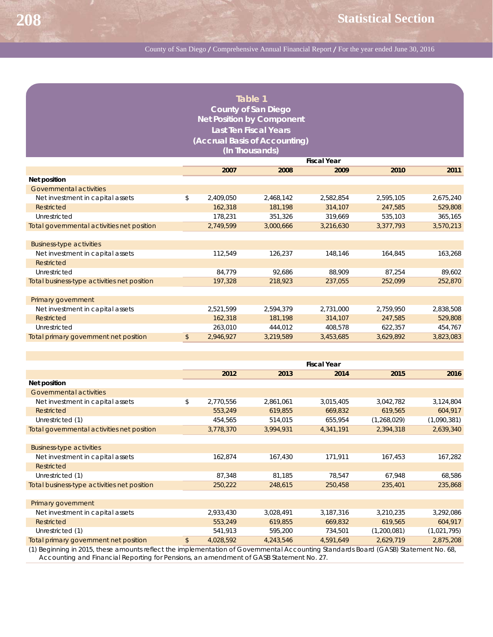|                                                 |                    |           | Table 1   |           |           |           |  |  |  |  |  |
|-------------------------------------------------|--------------------|-----------|-----------|-----------|-----------|-----------|--|--|--|--|--|
| <b>County of San Diego</b>                      |                    |           |           |           |           |           |  |  |  |  |  |
| <b>Net Position by Component</b>                |                    |           |           |           |           |           |  |  |  |  |  |
| <b>Last Ten Fiscal Years</b>                    |                    |           |           |           |           |           |  |  |  |  |  |
|                                                 |                    |           |           |           |           |           |  |  |  |  |  |
| (Accrual Basis of Accounting)<br>(In Thousands) |                    |           |           |           |           |           |  |  |  |  |  |
|                                                 | <b>Fiscal Year</b> |           |           |           |           |           |  |  |  |  |  |
|                                                 |                    | 2007      | 2008      | 2009      | 2010      | 2011      |  |  |  |  |  |
| Net position                                    |                    |           |           |           |           |           |  |  |  |  |  |
| Governmental activities                         |                    |           |           |           |           |           |  |  |  |  |  |
| Net investment in capital assets                | \$                 | 2,409,050 | 2,468,142 | 2,582,854 | 2,595,105 | 2,675,240 |  |  |  |  |  |
| Restricted                                      |                    | 162,318   | 181,198   | 314,107   | 247,585   | 529,808   |  |  |  |  |  |
| Unrestricted                                    |                    | 178,231   | 351.326   | 319.669   | 535,103   | 365,165   |  |  |  |  |  |
| Total governmental activities net position      |                    | 2,749,599 | 3,000,666 | 3,216,630 | 3,377,793 | 3,570,213 |  |  |  |  |  |
|                                                 |                    |           |           |           |           |           |  |  |  |  |  |
| <b>Business-type activities</b>                 |                    |           |           |           |           |           |  |  |  |  |  |
| Net investment in capital assets                |                    | 112,549   | 126,237   | 148,146   | 164,845   | 163,268   |  |  |  |  |  |
| Restricted                                      |                    |           |           |           |           |           |  |  |  |  |  |
| Unrestricted                                    |                    | 84,779    | 92,686    | 88.909    | 87,254    | 89,602    |  |  |  |  |  |
| Total business-type activities net position     |                    | 197,328   | 218,923   | 237,055   | 252,099   | 252,870   |  |  |  |  |  |
|                                                 |                    |           |           |           |           |           |  |  |  |  |  |
| Primary government                              |                    |           |           |           |           |           |  |  |  |  |  |
| Net investment in capital assets                |                    | 2,521,599 | 2,594,379 | 2,731,000 | 2,759,950 | 2,838,508 |  |  |  |  |  |
| Restricted                                      |                    | 162,318   | 181,198   | 314,107   | 247,585   | 529,808   |  |  |  |  |  |
| Unrestricted                                    |                    | 263,010   | 444,012   | 408,578   | 622,357   | 454,767   |  |  |  |  |  |
| Total primary government net position           | \$                 | 2,946,927 | 3,219,589 | 3,453,685 | 3,629,892 | 3,823,083 |  |  |  |  |  |

|                                             | <b>Fiscal Year</b> |           |           |             |             |  |  |  |
|---------------------------------------------|--------------------|-----------|-----------|-------------|-------------|--|--|--|
|                                             | 2012               | 2013      | 2014      | 2015        | 2016        |  |  |  |
| Net position                                |                    |           |           |             |             |  |  |  |
| Governmental activities                     |                    |           |           |             |             |  |  |  |
| Net investment in capital assets            | \$<br>2,770,556    | 2,861,061 | 3,015,405 | 3,042,782   | 3,124,804   |  |  |  |
| Restricted                                  | 553,249            | 619,855   | 669,832   | 619,565     | 604,917     |  |  |  |
| Unrestricted (1)                            | 454,565            | 514,015   | 655,954   | (1,268,029) | (1,090,381) |  |  |  |
| Total governmental activities net position  | 3,778,370          | 3,994,931 | 4,341,191 | 2,394,318   | 2,639,340   |  |  |  |
|                                             |                    |           |           |             |             |  |  |  |
| <b>Business-type activities</b>             |                    |           |           |             |             |  |  |  |
| Net investment in capital assets            | 162,874            | 167,430   | 171,911   | 167,453     | 167,282     |  |  |  |
| Restricted                                  |                    |           |           |             |             |  |  |  |
| Unrestricted (1)                            | 87,348             | 81,185    | 78,547    | 67,948      | 68,586      |  |  |  |
| Total business-type activities net position | 250,222            | 248,615   | 250,458   | 235,401     | 235,868     |  |  |  |
|                                             |                    |           |           |             |             |  |  |  |
| Primary government                          |                    |           |           |             |             |  |  |  |
| Net investment in capital assets            | 2,933,430          | 3,028,491 | 3,187,316 | 3,210,235   | 3,292,086   |  |  |  |
| Restricted                                  | 553,249            | 619,855   | 669,832   | 619,565     | 604,917     |  |  |  |
| Unrestricted (1)                            | 541,913            | 595,200   | 734,501   | (1,200,081) | (1,021,795) |  |  |  |
| Total primary government net position       | \$<br>4,028,592    | 4,243,546 | 4,591,649 | 2,629,719   | 2,875,208   |  |  |  |

(1) Beginning in 2015, these amounts reflect the implementation of Governmental Accounting Standards Board (GASB) Statement No. 68, Accounting and Financial Reporting for Pensions, an amendment of GASB Statement No. 27.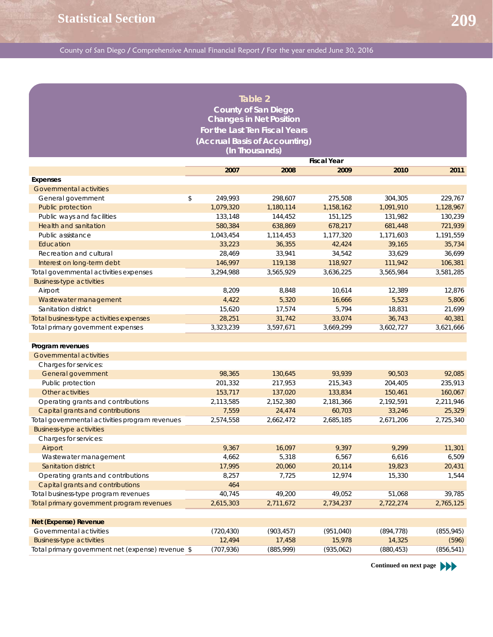|                                                                |                            | Table 2                        |                      |                      |                      |  |  |  |  |  |  |
|----------------------------------------------------------------|----------------------------|--------------------------------|----------------------|----------------------|----------------------|--|--|--|--|--|--|
|                                                                |                            | <b>County of San Diego</b>     |                      |                      |                      |  |  |  |  |  |  |
|                                                                |                            | <b>Changes in Net Position</b> |                      |                      |                      |  |  |  |  |  |  |
|                                                                |                            | For the Last Ten Fiscal Years  |                      |                      |                      |  |  |  |  |  |  |
| (Accrual Basis of Accounting)                                  |                            |                                |                      |                      |                      |  |  |  |  |  |  |
| (In Thousands)                                                 |                            |                                |                      |                      |                      |  |  |  |  |  |  |
|                                                                |                            |                                |                      |                      |                      |  |  |  |  |  |  |
|                                                                |                            |                                | <b>Fiscal Year</b>   |                      |                      |  |  |  |  |  |  |
|                                                                | 2007                       | 2008                           | 2009                 | 2010                 | 2011                 |  |  |  |  |  |  |
| Expenses                                                       |                            |                                |                      |                      |                      |  |  |  |  |  |  |
| Governmental activities                                        |                            |                                |                      |                      |                      |  |  |  |  |  |  |
| General government                                             | \$<br>249,993<br>1,079,320 | 298,607<br>1,180,114           | 275,508<br>1,158,162 | 304,305<br>1,091,910 | 229,767<br>1,128,967 |  |  |  |  |  |  |
| Public protection                                              |                            |                                |                      |                      |                      |  |  |  |  |  |  |
| Public ways and facilities                                     | 133,148                    | 144,452                        | 151,125              | 131,982              | 130,239              |  |  |  |  |  |  |
| Health and sanitation                                          | 580,384                    | 638,869                        | 678,217              | 681,448              | 721,939              |  |  |  |  |  |  |
| Public assistance                                              | 1,043,454                  | 1,114,453                      | 1,177,320            | 1,171,603            | 1,191,559            |  |  |  |  |  |  |
| Education                                                      | 33,223                     | 36,355                         | 42,424               | 39,165               | 35,734               |  |  |  |  |  |  |
| Recreation and cultural                                        | 28,469                     | 33,941                         | 34,542               | 33,629               | 36,699               |  |  |  |  |  |  |
| Interest on long-term debt                                     | 146,997                    | 119,138<br>3,565,929           | 118,927              | 111,942              | 106,381              |  |  |  |  |  |  |
| Total governmental activities expenses                         | 3,294,988                  |                                | 3,636,225            | 3,565,984            | 3,581,285            |  |  |  |  |  |  |
| <b>Business-type activities</b>                                | 8,209                      | 8,848                          | 10,614               | 12,389               | 12,876               |  |  |  |  |  |  |
| Airport                                                        |                            |                                |                      |                      |                      |  |  |  |  |  |  |
| Wastewater management                                          | 4,422<br>15,620            | 5,320                          | 16,666               | 5,523                | 5,806                |  |  |  |  |  |  |
| Sanitation district<br>Total business-type activities expenses | 28,251                     | 17,574<br>31,742               | 5,794<br>33,074      | 18,831<br>36,743     | 21,699               |  |  |  |  |  |  |
| Total primary government expenses                              | 3,323,239                  | 3,597,671                      | 3,669,299            | 3,602,727            | 40,381<br>3,621,666  |  |  |  |  |  |  |
|                                                                |                            |                                |                      |                      |                      |  |  |  |  |  |  |
| Program revenues                                               |                            |                                |                      |                      |                      |  |  |  |  |  |  |
| Governmental activities                                        |                            |                                |                      |                      |                      |  |  |  |  |  |  |
| Charges for services:                                          |                            |                                |                      |                      |                      |  |  |  |  |  |  |
| General government                                             | 98,365                     | 130,645                        | 93,939               | 90,503               | 92,085               |  |  |  |  |  |  |
| Public protection                                              | 201,332                    | 217,953                        | 215,343              | 204,405              | 235,913              |  |  |  |  |  |  |
| Other activities                                               | 153,717                    | 137,020                        | 133,834              | 150,461              | 160,067              |  |  |  |  |  |  |
| Operating grants and contributions                             | 2,113,585                  | 2,152,380                      | 2,181,366            | 2,192,591            | 2,211,946            |  |  |  |  |  |  |
| Capital grants and contributions                               | 7,559                      | 24,474                         | 60,703               | 33,246               | 25,329               |  |  |  |  |  |  |
| Total governmental activities program revenues                 | 2,574,558                  | 2,662,472                      | 2,685,185            | 2,671,206            | 2,725,340            |  |  |  |  |  |  |
| <b>Business-type activities</b>                                |                            |                                |                      |                      |                      |  |  |  |  |  |  |
| Charges for services:                                          |                            |                                |                      |                      |                      |  |  |  |  |  |  |
| Airport                                                        | 9,367                      | 16,097                         | 9,397                | 9,299                | 11,301               |  |  |  |  |  |  |
| Wastewater management                                          | 4,662                      | 5,318                          | 6,567                | 6,616                | 6,509                |  |  |  |  |  |  |
| Sanitation district                                            | 17,995                     | 20,060                         | 20,114               | 19,823               | 20,431               |  |  |  |  |  |  |
| Operating grants and contributions                             | 8,257                      | 7,725                          | 12,974               | 15,330               | 1,544                |  |  |  |  |  |  |
| Capital grants and contributions                               | 464                        |                                |                      |                      |                      |  |  |  |  |  |  |
| Total business-type program revenues                           | 40,745                     | 49,200                         | 49,052               | 51,068               | 39,785               |  |  |  |  |  |  |
| Total primary government program revenues                      | 2,615,303                  | 2,711,672                      | 2,734,237            | 2,722,274            | 2,765,125            |  |  |  |  |  |  |
|                                                                |                            |                                |                      |                      |                      |  |  |  |  |  |  |
| <b>Net (Expense) Revenue</b>                                   |                            |                                |                      |                      |                      |  |  |  |  |  |  |
| Governmental activities                                        | (720, 430)                 | (903, 457)                     | (951, 040)           | (894, 778)           | (855, 945)           |  |  |  |  |  |  |
| <b>Business-type activities</b>                                | 12,494                     | 17,458                         | 15,978               | 14,325               | (596)                |  |  |  |  |  |  |
| Total primary government net (expense) revenue \$              | (707, 936)                 | (885,999)                      | (935,062)            | (880, 453)           | (856, 541)           |  |  |  |  |  |  |

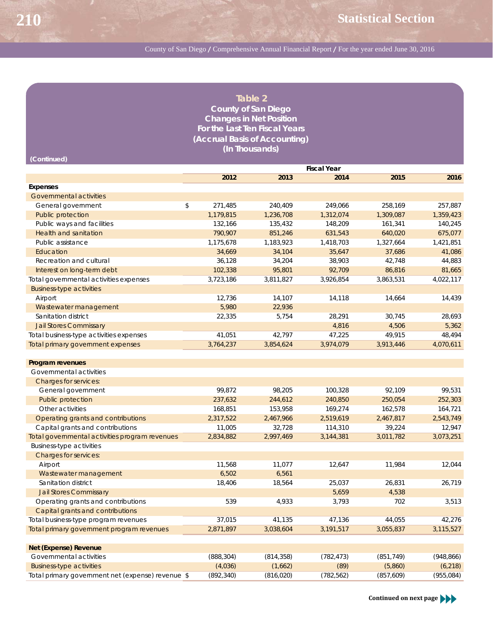| Table 2                        |
|--------------------------------|
| <b>County of San Diego</b>     |
| <b>Changes in Net Position</b> |
| For the Last Ten Fiscal Years  |
| (Accrual Basis of Accounting)  |
| (In Thousands)                 |

| (Continued)                                    |               |           |                    |            |           |
|------------------------------------------------|---------------|-----------|--------------------|------------|-----------|
|                                                |               |           | <b>Fiscal Year</b> |            |           |
|                                                | 2012          | 2013      | 2014               | 2015       | 2016      |
| <b>Expenses</b>                                |               |           |                    |            |           |
| <b>Governmental activities</b>                 |               |           |                    |            |           |
| General government                             | \$<br>271,485 | 240,409   | 249,066            | 258,169    | 257,887   |
| <b>Public protection</b>                       | 1,179,815     | 1,236,708 | 1,312,074          | 1,309,087  | 1,359,423 |
| Public ways and facilities                     | 132,166       | 135,432   | 148,209            | 161,341    | 140,245   |
| <b>Health and sanitation</b>                   | 790,907       | 851,246   | 631,543            | 640,020    | 675,077   |
| Public assistance                              | 1,175,678     | 1,183,923 | 1,418,703          | 1,327,664  | 1,421,851 |
| Education                                      | 34,669        | 34,104    | 35,647             | 37,686     | 41,086    |
| Recreation and cultural                        | 36,128        | 34,204    | 38,903             | 42.748     | 44,883    |
| Interest on long-term debt                     | 102,338       | 95,801    | 92,709             | 86,816     | 81,665    |
| Total governmental activities expenses         | 3,723,186     | 3,811,827 | 3,926,854          | 3,863,531  | 4,022,117 |
| <b>Business-type activities</b>                |               |           |                    |            |           |
| Airport                                        | 12,736        | 14,107    | 14,118             | 14,664     | 14,439    |
| Wastewater management                          | 5,980         | 22,936    |                    |            |           |
| Sanitation district                            | 22,335        | 5,754     | 28,291             | 30,745     | 28,693    |
| <b>Jail Stores Commissary</b>                  |               |           | 4,816              | 4,506      | 5,362     |
| Total business-type activities expenses        | 41,051        | 42,797    | 47,225             | 49,915     | 48,494    |
| Total primary government expenses              | 3,764,237     | 3,854,624 | 3,974,079          | 3,913,446  | 4,070,611 |
|                                                |               |           |                    |            |           |
| Program revenues                               |               |           |                    |            |           |
| Governmental activities                        |               |           |                    |            |           |
| <b>Charges for services:</b>                   |               |           |                    |            |           |
| General government                             | 99,872        | 98,205    | 100,328            | 92,109     | 99,531    |
| <b>Public protection</b>                       | 237,632       | 244,612   | 240,850            | 250,054    | 252,303   |
| Other activities                               | 168,851       | 153,958   | 169,274            | 162,578    | 164,721   |
| Operating grants and contributions             | 2,317,522     | 2,467,966 | 2,519,619          | 2,467,817  | 2,543,749 |
| Capital grants and contributions               | 11,005        | 32,728    | 114,310            | 39,224     | 12,947    |
| Total governmental activities program revenues | 2,834,882     | 2,997,469 | 3,144,381          | 3,011,782  | 3,073,251 |
| <b>Business-type activities</b>                |               |           |                    |            |           |
| <b>Charges for services:</b>                   |               |           |                    |            |           |
| Airport                                        | 11,568        | 11,077    | 12,647             | 11,984     | 12,044    |
| Wastewater management                          | 6,502         | 6,561     |                    |            |           |
| Sanitation district                            | 18,406        | 18,564    | 25,037             | 26,831     | 26,719    |
| <b>Jail Stores Commissary</b>                  |               |           | 5,659              | 4,538      |           |
| Operating grants and contributions             | 539           | 4,933     | 3,793              | 702        | 3,513     |
| Capital grants and contributions               |               |           |                    |            |           |
| Total business-type program revenues           | 37,015        | 41,135    | 47,136             | 44,055     | 42,276    |
| Total primary government program revenues      | 2,871,897     | 3,038,604 | 3,191,517          | 3,055,837  | 3,115,527 |
|                                                |               |           |                    |            |           |
| <b>Net (Expense) Revenue</b>                   |               |           |                    |            |           |
|                                                | (0.00000)     | (01100)   | $(700 \times 70)$  | (0.54.710) | (0.10011) |

| Governmental activities                           | (888, 304) | (814.358)  | (782.473) | (851, 749) | (948, 866) |
|---------------------------------------------------|------------|------------|-----------|------------|------------|
| <b>Business-type activities</b>                   | (4,036)    | (1.662)    | (89)      | (5,860)    | (6, 218)   |
| Total primary government net (expense) revenue \$ | (892, 340) | (816, 020) | (782,562) | (857,609)  | (955,084)  |

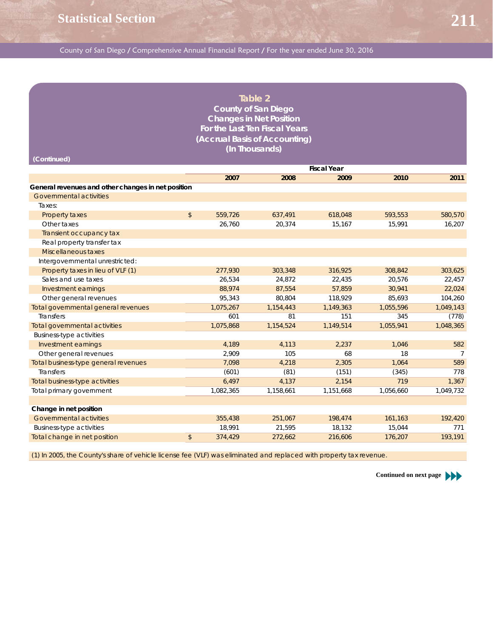### **Table 2 County of San Diego Changes in Net Position For the Last Ten Fiscal Years (Accrual Basis of Accounting) (In Thousands)**

| (Continued)                                        |               |           |           |                    |           |           |
|----------------------------------------------------|---------------|-----------|-----------|--------------------|-----------|-----------|
|                                                    |               |           |           | <b>Fiscal Year</b> |           |           |
|                                                    |               | 2007      | 2008      | 2009               | 2010      | 2011      |
| General revenues and other changes in net position |               |           |           |                    |           |           |
| Governmental activities                            |               |           |           |                    |           |           |
| Taxes:                                             |               |           |           |                    |           |           |
| Property taxes                                     | $\sqrt[6]{}$  | 559,726   | 637,491   | 618,048            | 593,553   | 580,570   |
| Other taxes                                        |               | 26.760    | 20.374    | 15,167             | 15,991    | 16,207    |
| Transient occupancy tax                            |               |           |           |                    |           |           |
| Real property transfer tax                         |               |           |           |                    |           |           |
| Miscellaneous taxes                                |               |           |           |                    |           |           |
| Intergovernmental unrestricted:                    |               |           |           |                    |           |           |
| Property taxes in lieu of VLF (1)                  |               | 277,930   | 303,348   | 316,925            | 308,842   | 303,625   |
| Sales and use taxes                                |               | 26.534    | 24.872    | 22,435             | 20,576    | 22,457    |
| Investment earnings                                |               | 88,974    | 87,554    | 57,859             | 30,941    | 22,024    |
| Other general revenues                             |               | 95,343    | 80.804    | 118,929            | 85,693    | 104,260   |
| Total governmental general revenues                |               | 1,075,267 | 1,154,443 | 1,149,363          | 1,055,596 | 1,049,143 |
| <b>Transfers</b>                                   |               | 601       | 81        | 151                | 345       | (778)     |
| <b>Total governmental activities</b>               |               | 1,075,868 | 1,154,524 | 1,149,514          | 1,055,941 | 1,048,365 |
| <b>Business-type activities</b>                    |               |           |           |                    |           |           |
| Investment earnings                                |               | 4,189     | 4,113     | 2,237              | 1,046     | 582       |
| Other general revenues                             |               | 2,909     | 105       | 68                 | 18        | 7         |
| Total business-type general revenues               |               | 7,098     | 4,218     | 2,305              | 1,064     | 589       |
| <b>Transfers</b>                                   |               | (601)     | (81)      | (151)              | (345)     | 778       |
| Total business-type activities                     |               | 6,497     | 4,137     | 2,154              | 719       | 1,367     |
| Total primary government                           |               | 1,082,365 | 1,158,661 | 1,151,668          | 1,056,660 | 1,049,732 |
|                                                    |               |           |           |                    |           |           |
| Change in net position                             |               |           |           |                    |           |           |
| <b>Governmental activities</b>                     |               | 355,438   | 251,067   | 198,474            | 161,163   | 192,420   |
| <b>Business-type activities</b>                    |               | 18,991    | 21,595    | 18,132             | 15,044    | 771       |
| Total change in net position                       | $\mathsf{\$}$ | 374,429   | 272,662   | 216,606            | 176,207   | 193,191   |
|                                                    |               |           |           |                    |           |           |

(1) In 2005, the County's share of vehicle license fee (VLF) was eliminated and replaced with property tax revenue.

**Continued on next page**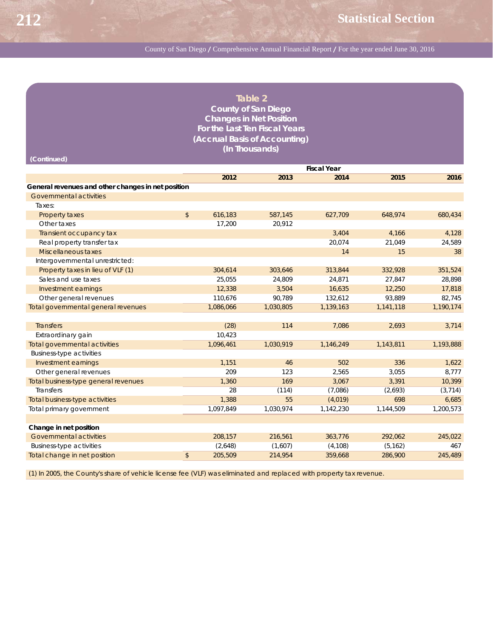| Table 2                              |
|--------------------------------------|
| <b>County of San Diego</b>           |
| <b>Changes in Net Position</b>       |
| <b>For the Last Ten Fiscal Years</b> |
| (Accrual Basis of Accounting)        |
| (In Thousands)                       |

| <b>Fiscal Year</b><br>2012<br>2013<br>2014<br>2015<br>2016<br>General revenues and other changes in net position<br>Governmental activities<br>Taxes:<br>$\mathfrak{S}$<br>616,183<br>587,145<br>627.709<br>648.974<br>680.434<br>Property taxes<br>17.200<br>20,912<br>Other taxes<br>3,404<br>4,128<br>4,166<br>Transient occupancy tax<br>Real property transfer tax<br>20.074<br>21.049<br>24,589<br>Miscellaneous taxes<br>14<br>15<br>38<br>Intergovernmental unrestricted:<br>Property taxes in lieu of VLF (1)<br>351,524<br>304,614<br>303,646<br>313,844<br>332,928<br>Sales and use taxes<br>25,055<br>28,898<br>24,809<br>24,871<br>27,847<br>12,338<br>3,504<br>16,635<br>12,250<br>17,818<br>Investment earnings<br>82,745<br>Other general revenues<br>110,676<br>90,789<br>132,612<br>93,889<br>1,190,174<br>Total governmental general revenues<br>1,086,066<br>1,030,805<br>1,139,163<br>1,141,118<br>(28)<br>3,714<br><b>Transfers</b><br>114<br>7.086<br>2,693<br>Extraordinary gain<br>10.423<br><b>Total governmental activities</b><br>1,096,461<br>1,030,919<br>1,193,888<br>1,146,249<br>1,143,811<br><b>Business-type activities</b><br>Investment earnings<br>1,151<br>502<br>336<br>1,622<br>46<br>209<br>123<br>3,055<br>8,777<br>Other general revenues<br>2,565<br>10,399<br>169<br>Total business-type general revenues<br>1,360<br>3,067<br>3,391<br><b>Transfers</b><br>(7,086)<br>28<br>(114)<br>(2,693)<br>(3, 714)<br>6,685<br><b>Total business-type activities</b><br>1,388<br>55<br>(4,019)<br>698<br>1,097,849<br>1,200,573<br>Total primary government<br>1,030,974<br>1,142,230<br>1,144,509<br>Change in net position<br>Governmental activities<br>208,157<br>216,561<br>363,776<br>292,062<br>245,022<br><b>Business-type activities</b><br>(2,648)<br>(1,607)<br>(4, 108)<br>467<br>(5, 162)<br>Total change in net position<br>$\sqrt[6]{2}$<br>205,509<br>214,954<br>359,668<br>286,900<br>245,489 | (Continued) |  |  |  |
|-----------------------------------------------------------------------------------------------------------------------------------------------------------------------------------------------------------------------------------------------------------------------------------------------------------------------------------------------------------------------------------------------------------------------------------------------------------------------------------------------------------------------------------------------------------------------------------------------------------------------------------------------------------------------------------------------------------------------------------------------------------------------------------------------------------------------------------------------------------------------------------------------------------------------------------------------------------------------------------------------------------------------------------------------------------------------------------------------------------------------------------------------------------------------------------------------------------------------------------------------------------------------------------------------------------------------------------------------------------------------------------------------------------------------------------------------------------------------------------------------------------------------------------------------------------------------------------------------------------------------------------------------------------------------------------------------------------------------------------------------------------------------------------------------------------------------------------------------------------------------------------------------------------------------------------------------------|-------------|--|--|--|
|                                                                                                                                                                                                                                                                                                                                                                                                                                                                                                                                                                                                                                                                                                                                                                                                                                                                                                                                                                                                                                                                                                                                                                                                                                                                                                                                                                                                                                                                                                                                                                                                                                                                                                                                                                                                                                                                                                                                                     |             |  |  |  |
|                                                                                                                                                                                                                                                                                                                                                                                                                                                                                                                                                                                                                                                                                                                                                                                                                                                                                                                                                                                                                                                                                                                                                                                                                                                                                                                                                                                                                                                                                                                                                                                                                                                                                                                                                                                                                                                                                                                                                     |             |  |  |  |
|                                                                                                                                                                                                                                                                                                                                                                                                                                                                                                                                                                                                                                                                                                                                                                                                                                                                                                                                                                                                                                                                                                                                                                                                                                                                                                                                                                                                                                                                                                                                                                                                                                                                                                                                                                                                                                                                                                                                                     |             |  |  |  |
|                                                                                                                                                                                                                                                                                                                                                                                                                                                                                                                                                                                                                                                                                                                                                                                                                                                                                                                                                                                                                                                                                                                                                                                                                                                                                                                                                                                                                                                                                                                                                                                                                                                                                                                                                                                                                                                                                                                                                     |             |  |  |  |
|                                                                                                                                                                                                                                                                                                                                                                                                                                                                                                                                                                                                                                                                                                                                                                                                                                                                                                                                                                                                                                                                                                                                                                                                                                                                                                                                                                                                                                                                                                                                                                                                                                                                                                                                                                                                                                                                                                                                                     |             |  |  |  |
|                                                                                                                                                                                                                                                                                                                                                                                                                                                                                                                                                                                                                                                                                                                                                                                                                                                                                                                                                                                                                                                                                                                                                                                                                                                                                                                                                                                                                                                                                                                                                                                                                                                                                                                                                                                                                                                                                                                                                     |             |  |  |  |
|                                                                                                                                                                                                                                                                                                                                                                                                                                                                                                                                                                                                                                                                                                                                                                                                                                                                                                                                                                                                                                                                                                                                                                                                                                                                                                                                                                                                                                                                                                                                                                                                                                                                                                                                                                                                                                                                                                                                                     |             |  |  |  |
|                                                                                                                                                                                                                                                                                                                                                                                                                                                                                                                                                                                                                                                                                                                                                                                                                                                                                                                                                                                                                                                                                                                                                                                                                                                                                                                                                                                                                                                                                                                                                                                                                                                                                                                                                                                                                                                                                                                                                     |             |  |  |  |
|                                                                                                                                                                                                                                                                                                                                                                                                                                                                                                                                                                                                                                                                                                                                                                                                                                                                                                                                                                                                                                                                                                                                                                                                                                                                                                                                                                                                                                                                                                                                                                                                                                                                                                                                                                                                                                                                                                                                                     |             |  |  |  |
|                                                                                                                                                                                                                                                                                                                                                                                                                                                                                                                                                                                                                                                                                                                                                                                                                                                                                                                                                                                                                                                                                                                                                                                                                                                                                                                                                                                                                                                                                                                                                                                                                                                                                                                                                                                                                                                                                                                                                     |             |  |  |  |
|                                                                                                                                                                                                                                                                                                                                                                                                                                                                                                                                                                                                                                                                                                                                                                                                                                                                                                                                                                                                                                                                                                                                                                                                                                                                                                                                                                                                                                                                                                                                                                                                                                                                                                                                                                                                                                                                                                                                                     |             |  |  |  |
|                                                                                                                                                                                                                                                                                                                                                                                                                                                                                                                                                                                                                                                                                                                                                                                                                                                                                                                                                                                                                                                                                                                                                                                                                                                                                                                                                                                                                                                                                                                                                                                                                                                                                                                                                                                                                                                                                                                                                     |             |  |  |  |
|                                                                                                                                                                                                                                                                                                                                                                                                                                                                                                                                                                                                                                                                                                                                                                                                                                                                                                                                                                                                                                                                                                                                                                                                                                                                                                                                                                                                                                                                                                                                                                                                                                                                                                                                                                                                                                                                                                                                                     |             |  |  |  |
|                                                                                                                                                                                                                                                                                                                                                                                                                                                                                                                                                                                                                                                                                                                                                                                                                                                                                                                                                                                                                                                                                                                                                                                                                                                                                                                                                                                                                                                                                                                                                                                                                                                                                                                                                                                                                                                                                                                                                     |             |  |  |  |
|                                                                                                                                                                                                                                                                                                                                                                                                                                                                                                                                                                                                                                                                                                                                                                                                                                                                                                                                                                                                                                                                                                                                                                                                                                                                                                                                                                                                                                                                                                                                                                                                                                                                                                                                                                                                                                                                                                                                                     |             |  |  |  |
|                                                                                                                                                                                                                                                                                                                                                                                                                                                                                                                                                                                                                                                                                                                                                                                                                                                                                                                                                                                                                                                                                                                                                                                                                                                                                                                                                                                                                                                                                                                                                                                                                                                                                                                                                                                                                                                                                                                                                     |             |  |  |  |
|                                                                                                                                                                                                                                                                                                                                                                                                                                                                                                                                                                                                                                                                                                                                                                                                                                                                                                                                                                                                                                                                                                                                                                                                                                                                                                                                                                                                                                                                                                                                                                                                                                                                                                                                                                                                                                                                                                                                                     |             |  |  |  |
|                                                                                                                                                                                                                                                                                                                                                                                                                                                                                                                                                                                                                                                                                                                                                                                                                                                                                                                                                                                                                                                                                                                                                                                                                                                                                                                                                                                                                                                                                                                                                                                                                                                                                                                                                                                                                                                                                                                                                     |             |  |  |  |
|                                                                                                                                                                                                                                                                                                                                                                                                                                                                                                                                                                                                                                                                                                                                                                                                                                                                                                                                                                                                                                                                                                                                                                                                                                                                                                                                                                                                                                                                                                                                                                                                                                                                                                                                                                                                                                                                                                                                                     |             |  |  |  |
|                                                                                                                                                                                                                                                                                                                                                                                                                                                                                                                                                                                                                                                                                                                                                                                                                                                                                                                                                                                                                                                                                                                                                                                                                                                                                                                                                                                                                                                                                                                                                                                                                                                                                                                                                                                                                                                                                                                                                     |             |  |  |  |
|                                                                                                                                                                                                                                                                                                                                                                                                                                                                                                                                                                                                                                                                                                                                                                                                                                                                                                                                                                                                                                                                                                                                                                                                                                                                                                                                                                                                                                                                                                                                                                                                                                                                                                                                                                                                                                                                                                                                                     |             |  |  |  |
|                                                                                                                                                                                                                                                                                                                                                                                                                                                                                                                                                                                                                                                                                                                                                                                                                                                                                                                                                                                                                                                                                                                                                                                                                                                                                                                                                                                                                                                                                                                                                                                                                                                                                                                                                                                                                                                                                                                                                     |             |  |  |  |
|                                                                                                                                                                                                                                                                                                                                                                                                                                                                                                                                                                                                                                                                                                                                                                                                                                                                                                                                                                                                                                                                                                                                                                                                                                                                                                                                                                                                                                                                                                                                                                                                                                                                                                                                                                                                                                                                                                                                                     |             |  |  |  |
|                                                                                                                                                                                                                                                                                                                                                                                                                                                                                                                                                                                                                                                                                                                                                                                                                                                                                                                                                                                                                                                                                                                                                                                                                                                                                                                                                                                                                                                                                                                                                                                                                                                                                                                                                                                                                                                                                                                                                     |             |  |  |  |
|                                                                                                                                                                                                                                                                                                                                                                                                                                                                                                                                                                                                                                                                                                                                                                                                                                                                                                                                                                                                                                                                                                                                                                                                                                                                                                                                                                                                                                                                                                                                                                                                                                                                                                                                                                                                                                                                                                                                                     |             |  |  |  |
|                                                                                                                                                                                                                                                                                                                                                                                                                                                                                                                                                                                                                                                                                                                                                                                                                                                                                                                                                                                                                                                                                                                                                                                                                                                                                                                                                                                                                                                                                                                                                                                                                                                                                                                                                                                                                                                                                                                                                     |             |  |  |  |
|                                                                                                                                                                                                                                                                                                                                                                                                                                                                                                                                                                                                                                                                                                                                                                                                                                                                                                                                                                                                                                                                                                                                                                                                                                                                                                                                                                                                                                                                                                                                                                                                                                                                                                                                                                                                                                                                                                                                                     |             |  |  |  |
|                                                                                                                                                                                                                                                                                                                                                                                                                                                                                                                                                                                                                                                                                                                                                                                                                                                                                                                                                                                                                                                                                                                                                                                                                                                                                                                                                                                                                                                                                                                                                                                                                                                                                                                                                                                                                                                                                                                                                     |             |  |  |  |
|                                                                                                                                                                                                                                                                                                                                                                                                                                                                                                                                                                                                                                                                                                                                                                                                                                                                                                                                                                                                                                                                                                                                                                                                                                                                                                                                                                                                                                                                                                                                                                                                                                                                                                                                                                                                                                                                                                                                                     |             |  |  |  |
|                                                                                                                                                                                                                                                                                                                                                                                                                                                                                                                                                                                                                                                                                                                                                                                                                                                                                                                                                                                                                                                                                                                                                                                                                                                                                                                                                                                                                                                                                                                                                                                                                                                                                                                                                                                                                                                                                                                                                     |             |  |  |  |
|                                                                                                                                                                                                                                                                                                                                                                                                                                                                                                                                                                                                                                                                                                                                                                                                                                                                                                                                                                                                                                                                                                                                                                                                                                                                                                                                                                                                                                                                                                                                                                                                                                                                                                                                                                                                                                                                                                                                                     |             |  |  |  |
|                                                                                                                                                                                                                                                                                                                                                                                                                                                                                                                                                                                                                                                                                                                                                                                                                                                                                                                                                                                                                                                                                                                                                                                                                                                                                                                                                                                                                                                                                                                                                                                                                                                                                                                                                                                                                                                                                                                                                     |             |  |  |  |

(1) In 2005, the County's share of vehicle license fee (VLF) was eliminated and replaced with property tax revenue.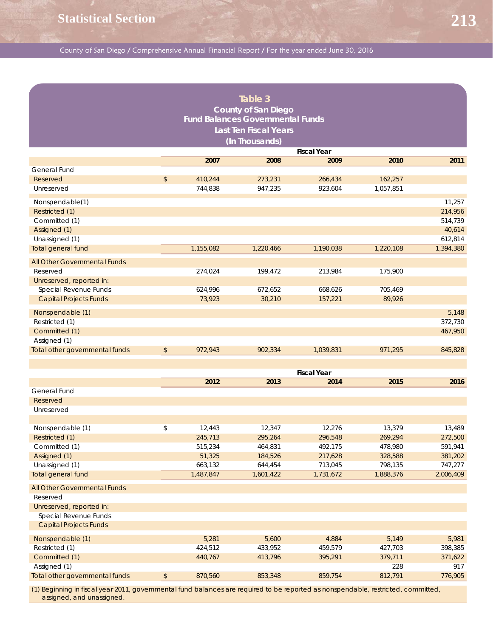|                                |                  |           | Table 3                                 |                    |           |           |
|--------------------------------|------------------|-----------|-----------------------------------------|--------------------|-----------|-----------|
|                                |                  |           | <b>County of San Diego</b>              |                    |           |           |
|                                |                  |           | <b>Fund Balances Governmental Funds</b> |                    |           |           |
|                                |                  |           |                                         |                    |           |           |
|                                |                  |           | <b>Last Ten Fiscal Years</b>            |                    |           |           |
|                                |                  |           | (In Thousands)                          |                    |           |           |
|                                |                  |           |                                         | <b>Fiscal Year</b> |           |           |
|                                |                  | 2007      | 2008                                    | 2009               | 2010      | 2011      |
| General Fund                   |                  |           |                                         |                    |           |           |
| Reserved                       | $$\mathfrak{s}$$ | 410,244   | 273,231                                 | 266,434            | 162,257   |           |
| Unreserved                     |                  | 744,838   | 947,235                                 | 923,604            | 1,057,851 |           |
| Nonspendable(1)                |                  |           |                                         |                    |           | 11,257    |
| Restricted (1)                 |                  |           |                                         |                    |           | 214,956   |
| Committed (1)                  |                  |           |                                         |                    |           | 514,739   |
| Assigned (1)                   |                  |           |                                         |                    |           | 40,614    |
| Unassigned (1)                 |                  |           |                                         |                    |           | 612,814   |
| Total general fund             |                  | 1,155,082 | 1,220,466                               | 1,190,038          | 1,220,108 | 1,394,380 |
|                                |                  |           |                                         |                    |           |           |
| All Other Governmental Funds   |                  |           |                                         |                    |           |           |
| Reserved                       |                  | 274,024   | 199,472                                 | 213,984            | 175,900   |           |
| Unreserved, reported in:       |                  |           |                                         |                    |           |           |
| Special Revenue Funds          |                  | 624,996   | 672,652                                 | 668,626            | 705,469   |           |
| <b>Capital Projects Funds</b>  |                  | 73,923    | 30,210                                  | 157,221            | 89,926    |           |
| Nonspendable (1)               |                  |           |                                         |                    |           | 5,148     |
| Restricted (1)                 |                  |           |                                         |                    |           | 372,730   |
| Committed (1)                  |                  |           |                                         |                    |           | 467,950   |
| Assigned (1)                   |                  |           |                                         |                    |           |           |
| Total other governmental funds | $\sqrt{2}$       | 972,943   | 902,334                                 | 1,039,831          | 971,295   | 845,828   |
|                                |                  |           |                                         |                    |           |           |
|                                |                  |           |                                         | <b>Fiscal Year</b> |           |           |
|                                |                  | 2012      | 2013                                    | 2014               | 2015      | 2016      |
| General Fund                   |                  |           |                                         |                    |           |           |
| Reserved                       |                  |           |                                         |                    |           |           |
| Unreserved                     |                  |           |                                         |                    |           |           |
|                                |                  |           |                                         |                    |           |           |
| Nonspendable (1)               | \$               | 12,443    | 12,347                                  | 12,276             | 13,379    | 13,489    |
| Restricted (1)                 |                  | 245,713   | 295,264                                 | 296,548            | 269,294   | 272,500   |
| Committed (1)                  |                  | 515,234   | 464,831                                 | 492,175            | 478,980   | 591,941   |
| Assigned (1)                   |                  | 51,325    | 184,526                                 | 217,628            | 328,588   | 381,202   |
| Unassigned (1)                 |                  | 663,132   | 644,454                                 | 713,045            | 798,135   | 747,277   |
| <b>Total general fund</b>      |                  | 1,487,847 | 1,601,422                               | 1,731,672          | 1,888,376 | 2,006,409 |
|                                |                  |           |                                         |                    |           |           |
| All Other Governmental Funds   |                  |           |                                         |                    |           |           |
| Reserved                       |                  |           |                                         |                    |           |           |
| Unreserved, reported in:       |                  |           |                                         |                    |           |           |
| Special Revenue Funds          |                  |           |                                         |                    |           |           |
| <b>Capital Projects Funds</b>  |                  |           |                                         |                    |           |           |
| Nonspendable (1)               |                  | 5,281     | 5,600                                   | 4,884              | 5,149     | 5,981     |
| Restricted (1)                 |                  | 424,512   | 433,952                                 | 459,579            | 427,703   | 398,385   |
| Committed (1)                  |                  | 440,767   | 413,796                                 | 395,291            | 379,711   | 371,622   |
| Assigned (1)                   |                  |           |                                         |                    | 228       | 917       |
| Total other governmental funds | $\frac{1}{2}$    | 870,560   | 853,348                                 | 859,754            | 812,791   | 776,905   |
|                                |                  |           |                                         |                    |           |           |

(1) Beginning in fiscal year 2011, governmental fund balances are required to be reported as nonspendable, restricted, committed, assigned, and unassigned.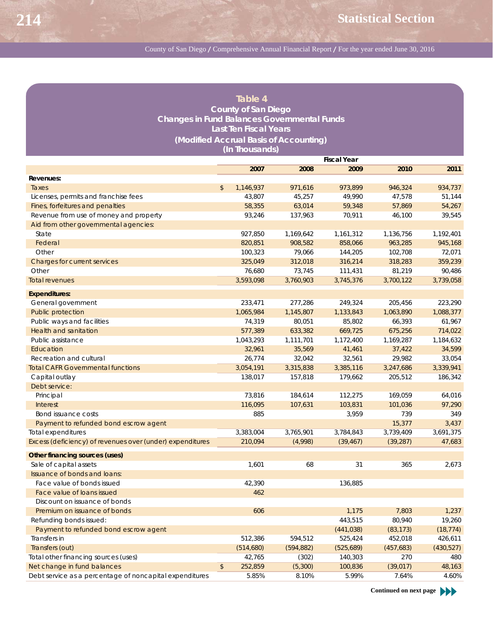### **Table 4 County of San Diego Changes in Fund Balances Governmental Funds Last Ten Fiscal Years (Modified Accrual Basis of Accounting) (In Thousands)**

|                                                           | <b>Fiscal Year</b> |           |            |            |            |            |  |
|-----------------------------------------------------------|--------------------|-----------|------------|------------|------------|------------|--|
|                                                           |                    | 2007      | 2008       | 2009       | 2010       | 2011       |  |
| Revenues:                                                 |                    |           |            |            |            |            |  |
| Taxes                                                     | $\mathfrak{S}$     | 1,146,937 | 971,616    | 973,899    | 946,324    | 934,737    |  |
| Licenses, permits and franchise fees                      |                    | 43,807    | 45,257     | 49,990     | 47,578     | 51,144     |  |
| Fines, forfeitures and penalties                          |                    | 58,355    | 63,014     | 59,348     | 57,869     | 54,267     |  |
| Revenue from use of money and property                    |                    | 93.246    | 137,963    | 70,911     | 46,100     | 39,545     |  |
| Aid from other governmental agencies:                     |                    |           |            |            |            |            |  |
| State                                                     |                    | 927,850   | 1,169,642  | 1,161,312  | 1,136,756  | 1,192,401  |  |
| Federal                                                   |                    | 820,851   | 908.582    | 858,066    | 963,285    | 945,168    |  |
| Other                                                     |                    | 100,323   | 79,066     | 144,205    | 102,708    | 72,071     |  |
| Charges for current services                              |                    | 325,049   | 312,018    | 316,214    | 318,283    | 359,239    |  |
| Other                                                     |                    | 76,680    | 73,745     | 111,431    | 81,219     | 90,486     |  |
| <b>Total revenues</b>                                     |                    | 3,593,098 | 3,760,903  | 3,745,376  | 3,700,122  | 3,739,058  |  |
| <b>Expenditures:</b>                                      |                    |           |            |            |            |            |  |
| General government                                        |                    | 233,471   | 277,286    | 249,324    | 205,456    | 223,290    |  |
| Public protection                                         |                    | 1,065,984 | 1,145,807  | 1,133,843  | 1,063,890  | 1,088,377  |  |
| Public ways and facilities                                |                    | 74,319    | 80,051     | 85,802     | 66,393     | 61,967     |  |
| <b>Health and sanitation</b>                              |                    | 577,389   | 633,382    | 669,725    | 675,256    | 714,022    |  |
| Public assistance                                         |                    | 1,043,293 | 1,111,701  | 1,172,400  | 1,169,287  | 1,184,632  |  |
| Education                                                 |                    | 32,961    | 35,569     | 41,461     | 37,422     | 34,599     |  |
| Recreation and cultural                                   |                    | 26,774    | 32,042     | 32,561     | 29,982     | 33,054     |  |
| <b>Total CAFR Governmental functions</b>                  |                    | 3,054,191 | 3,315,838  | 3,385,116  | 3,247,686  | 3,339,941  |  |
| Capital outlay                                            |                    | 138,017   | 157,818    | 179,662    | 205,512    | 186,342    |  |
| Debt service:                                             |                    |           |            |            |            |            |  |
| Principal                                                 |                    | 73,816    | 184,614    | 112,275    | 169,059    | 64,016     |  |
| Interest                                                  |                    | 116,095   | 107,631    | 103,831    | 101,036    | 97,290     |  |
| Bond issuance costs                                       |                    | 885       |            | 3,959      | 739        | 349        |  |
| Payment to refunded bond escrow agent                     |                    |           |            |            | 15,377     | 3,437      |  |
| Total expenditures                                        |                    | 3,383,004 | 3,765,901  | 3,784,843  | 3,739,409  | 3,691,375  |  |
| Excess (deficiency) of revenues over (under) expenditures |                    | 210,094   | (4,998)    | (39, 467)  | (39, 287)  | 47,683     |  |
| Other financing sources (uses)                            |                    |           |            |            |            |            |  |
| Sale of capital assets                                    |                    | 1,601     | 68         | 31         | 365        | 2,673      |  |
| Issuance of bonds and loans:                              |                    |           |            |            |            |            |  |
| Face value of bonds issued                                |                    | 42,390    |            | 136,885    |            |            |  |
| Face value of loans issued                                |                    | 462       |            |            |            |            |  |
| Discount on issuance of bonds                             |                    |           |            |            |            |            |  |
| Premium on issuance of bonds                              |                    | 606       |            | 1,175      | 7,803      | 1,237      |  |
| Refunding bonds issued:                                   |                    |           |            | 443,515    | 80,940     | 19,260     |  |
| Payment to refunded bond escrow agent                     |                    |           |            | (441, 038) | (83, 173)  | (18, 774)  |  |
| Transfers in                                              |                    | 512,386   | 594,512    | 525,424    | 452,018    | 426,611    |  |
| Transfers (out)                                           |                    | (514,680) | (594, 882) | (525,689)  | (457, 683) | (430, 527) |  |
| Total other financing sources (uses)                      |                    | 42,765    | (302)      | 140,303    | 270        | 480        |  |
| Net change in fund balances                               | $\frac{1}{2}$      | 252,859   | (5,300)    | 100,836    | (39, 017)  | 48,163     |  |
| Debt service as a percentage of noncapital expenditures   |                    | 5.85%     | 8.10%      | 5.99%      | 7.64%      | 4.60%      |  |

**Continued on next page**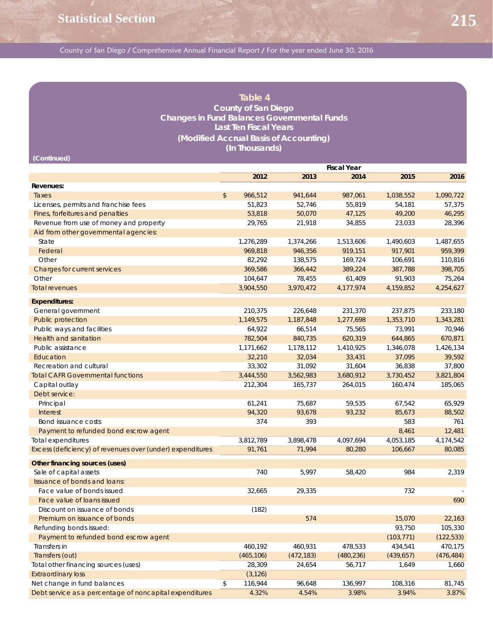#### **Table 4 County of San Diego Changes in Fund Balances Governmental Funds Last Ten Fiscal Years (Modified Accrual Basis of Accounting) (In Thousands)**

**(Continued)**

|                                                           |    | 2012       | 2013       | 2014       | 2015                | 2016       |
|-----------------------------------------------------------|----|------------|------------|------------|---------------------|------------|
| Revenues:                                                 |    |            |            |            |                     |            |
| Taxes                                                     | \$ | 966,512    | 941,644    | 987,061    | 1,038,552           | 1,090,722  |
| Licenses, permits and franchise fees                      |    | 51,823     | 52,746     | 55,819     | 54,181              | 57,375     |
| Fines, forfeitures and penalties                          |    | 53,818     | 50,070     | 47,125     | 49,200              | 46,295     |
| Revenue from use of money and property                    |    | 29,765     | 21,918     | 34,855     | 23,033              | 28,396     |
| Aid from other governmental agencies:                     |    |            |            |            |                     |            |
| State                                                     |    | 1,276,289  | 1,374,266  | 1,513,606  | 1,490,603           | 1,487,655  |
| Federal                                                   |    | 969,818    | 946,356    | 919,151    | 917,901             | 959,399    |
| Other                                                     |    | 82,292     | 138,575    | 169,724    | 106,691             | 110,816    |
| Charges for current services                              |    | 369,586    | 366,442    | 389,224    | 387,788             | 398,705    |
| Other                                                     |    | 104,647    | 78,455     | 61,409     | 91,903              | 75,264     |
| <b>Total revenues</b>                                     |    | 3,904,550  | 3,970,472  | 4,177,974  | 4,159,852           | 4,254,627  |
| <b>Expenditures:</b>                                      |    |            |            |            |                     |            |
| General government                                        |    | 210,375    | 226,648    | 231,370    | 237,875             | 233,180    |
| <b>Public protection</b>                                  |    | 1,149,575  | 1,187,848  | 1,277,698  | 1,353,710           | 1,343,281  |
| Public ways and facilities                                |    | 64,922     | 66,514     | 75,565     | 73,991              | 70,946     |
| <b>Health and sanitation</b>                              |    | 782,504    | 840,735    | 620,319    | 644,865             | 670,871    |
| Public assistance                                         |    |            |            |            |                     |            |
|                                                           |    | 1,171,662  | 1,178,112  | 1,410,925  | 1,346,078<br>37,095 | 1,426,134  |
| Education                                                 |    | 32,210     | 32,034     | 33,431     |                     | 39,592     |
| Recreation and cultural                                   |    | 33,302     | 31,092     | 31,604     | 36,838              | 37,800     |
| <b>Total CAFR Governmental functions</b>                  |    | 3,444,550  | 3,562,983  | 3,680,912  | 3,730,452           | 3,821,804  |
| Capital outlay                                            |    | 212,304    | 165,737    | 264,015    | 160,474             | 185,065    |
| Debt service:                                             |    |            |            |            |                     |            |
| Principal                                                 |    | 61,241     | 75,687     | 59,535     | 67,542              | 65,929     |
| <b>Interest</b>                                           |    | 94,320     | 93,678     | 93,232     | 85,673              | 88,502     |
| Bond issuance costs                                       |    | 374        | 393        |            | 583                 | 761        |
| Payment to refunded bond escrow agent                     |    |            |            |            | 8,461               | 12,481     |
| Total expenditures                                        |    | 3,812,789  | 3,898,478  | 4,097,694  | 4,053,185           | 4,174,542  |
| Excess (deficiency) of revenues over (under) expenditures |    | 91,761     | 71,994     | 80,280     | 106,667             | 80,085     |
| Other financing sources (uses)                            |    |            |            |            |                     |            |
| Sale of capital assets                                    |    | 740        | 5,997      | 58,420     | 984                 | 2,319      |
| Issuance of bonds and loans:                              |    |            |            |            |                     |            |
| Face value of bonds issued                                |    | 32.665     | 29,335     |            | 732                 |            |
| Face value of loans issued                                |    |            |            |            |                     | 690        |
| Discount on issuance of bonds                             |    | (182)      |            |            |                     |            |
| Premium on issuance of bonds                              |    |            | 574        |            | 15,070              | 22,163     |
| Refunding bonds issued:                                   |    |            |            |            | 93,750              | 105,330    |
| Payment to refunded bond escrow agent                     |    |            |            |            | (103, 771)          | (122, 533) |
| Transfers in                                              |    | 460,192    | 460,931    | 478,533    | 434,541             | 470,175    |
| Transfers (out)                                           |    | (465, 106) | (472, 183) | (480, 236) | (439, 657)          | (476, 484) |
| Total other financing sources (uses)                      |    | 28,309     | 24,654     | 56,717     | 1,649               | 1,660      |
| <b>Extraordinary loss</b>                                 |    | (3, 126)   |            |            |                     |            |
| Net change in fund balances                               | \$ | 116,944    | 96,648     | 136,997    | 108,316             | 81,745     |
| Debt service as a percentage of noncapital expenditures   |    | 4.32%      | 4.54%      | 3.98%      | 3.94%               | 3.87%      |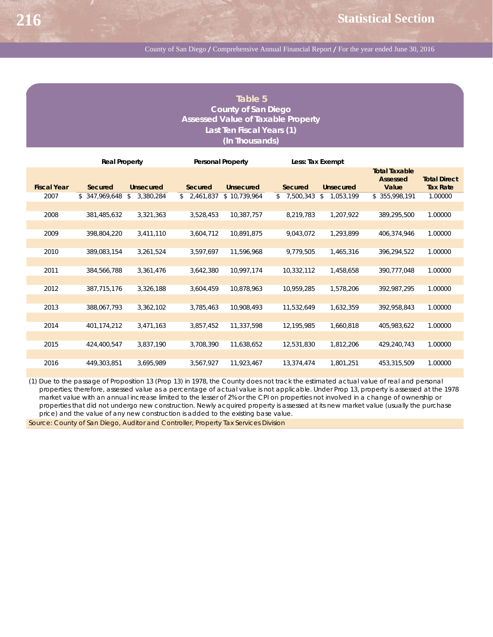## **Table 5 County of San Diego Assessed Value of Taxable Property Last Ten Fiscal Years (1) (In Thousands)**

|                    | <b>Real Property</b> |                  |             | <b>Personal Property</b> | Less: Tax Exempt |                  |                                                  |                                        |
|--------------------|----------------------|------------------|-------------|--------------------------|------------------|------------------|--------------------------------------------------|----------------------------------------|
| <b>Fiscal Year</b> | Secured              | <b>Unsecured</b> | Secured     | <b>Unsecured</b>         | Secured          | <b>Unsecured</b> | <b>Total Taxable</b><br><b>Assessed</b><br>Value | <b>Total Direct</b><br><b>Tax Rate</b> |
| 2007               | \$347,969,648        | 3,380,284<br>\$  | \$2,461,837 | \$10,739,964             | 7,500,343<br>\$  | 1,053,199<br>\$  | \$355,998,191                                    | 1.00000                                |
| 2008               | 381,485,632          | 3,321,363        | 3,528,453   | 10,387,757               | 8,219,783        | 1,207,922        | 389,295,500                                      | 1.00000                                |
| 2009               | 398,804,220          | 3,411,110        | 3,604,712   | 10,891,875               | 9,043,072        | 1,293,899        | 406,374,946                                      | 1.00000                                |
| 2010               | 389,083,154          | 3,261,524        | 3,597,697   | 11,596,968               | 9,779,505        | 1,465,316        | 396,294,522                                      | 1.00000                                |
| 2011               | 384,566,788          | 3,361,476        | 3,642,380   | 10,997,174               | 10,332,112       | 1,458,658        | 390,777,048                                      | 1.00000                                |
| 2012               | 387,715,176          | 3,326,188        | 3,604,459   | 10,878,963               | 10,959,285       | 1,578,206        | 392,987,295                                      | 1.00000                                |
| 2013               | 388,067,793          | 3,362,102        | 3,785,463   | 10,908,493               | 11,532,649       | 1,632,359        | 392,958,843                                      | 1.00000                                |
| 2014               | 401,174,212          | 3,471,163        | 3,857,452   | 11,337,598               | 12,195,985       | 1,660,818        | 405.983.622                                      | 1.00000                                |
| 2015               | 424,400,547          | 3,837,190        | 3,708,390   | 11,638,652               | 12,531,830       | 1,812,206        | 429,240,743                                      | 1.00000                                |
| 2016               | 449,303,851          | 3,695,989        | 3,567,927   | 11,923,467               | 13,374,474       | 1,801,251        | 453,315,509                                      | 1.00000                                |

(1) Due to the passage of Proposition 13 (Prop 13) in 1978, the County does not track the estimated actual value of real and personal properties; therefore, assessed value as a percentage of actual value is not applicable. Under Prop 13, property is assessed at the 1978 market value with an annual increase limited to the lesser of 2% or the CPI on properties not involved in a change of ownership or properties that did not undergo new construction. Newly acquired property is assessed at its new market value (usually the purchase price) and the value of any new construction is added to the existing base value.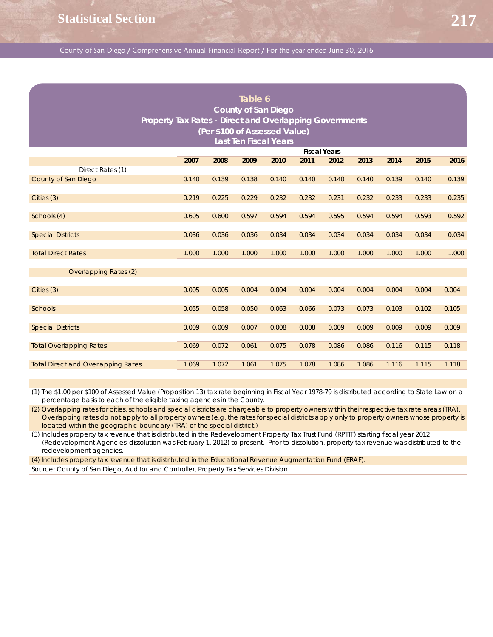| Table 6<br><b>County of San Diego</b><br>Property Tax Rates - Direct and Overlapping Governments<br>(Per \$100 of Assessed Value)<br><b>Last Ten Fiscal Years</b><br><b>Fiscal Years</b> |       |       |       |       |       |       |       |       |       |       |
|------------------------------------------------------------------------------------------------------------------------------------------------------------------------------------------|-------|-------|-------|-------|-------|-------|-------|-------|-------|-------|
|                                                                                                                                                                                          |       |       |       |       |       |       |       |       |       |       |
|                                                                                                                                                                                          | 2007  | 2008  | 2009  | 2010  | 2011  | 2012  | 2013  | 2014  | 2015  | 2016  |
| Direct Rates (1)<br>County of San Diego                                                                                                                                                  | 0.140 | 0.139 | 0.138 | 0.140 | 0.140 | 0.140 | 0.140 | 0.139 | 0.140 | 0.139 |
| Cities (3)                                                                                                                                                                               | 0.219 | 0.225 | 0.229 | 0.232 | 0.232 | 0.231 | 0.232 | 0.233 | 0.233 | 0.235 |
| Schools (4)                                                                                                                                                                              | 0.605 | 0.600 | 0.597 | 0.594 | 0.594 | 0.595 | 0.594 | 0.594 | 0.593 | 0.592 |
| <b>Special Districts</b>                                                                                                                                                                 | 0.036 | 0.036 | 0.036 | 0.034 | 0.034 | 0.034 | 0.034 | 0.034 | 0.034 | 0.034 |
| <b>Total Direct Rates</b>                                                                                                                                                                | 1.000 | 1.000 | 1.000 | 1.000 | 1.000 | 1.000 | 1.000 | 1.000 | 1.000 | 1.000 |
| Overlapping Rates (2)                                                                                                                                                                    |       |       |       |       |       |       |       |       |       |       |
| Cities (3)                                                                                                                                                                               | 0.005 | 0.005 | 0.004 | 0.004 | 0.004 | 0.004 | 0.004 | 0.004 | 0.004 | 0.004 |
| Schools                                                                                                                                                                                  | 0.055 | 0.058 | 0.050 | 0.063 | 0.066 | 0.073 | 0.073 | 0.103 | 0.102 | 0.105 |
| <b>Special Districts</b>                                                                                                                                                                 | 0.009 | 0.009 | 0.007 | 0.008 | 0.008 | 0.009 | 0.009 | 0.009 | 0.009 | 0.009 |
| <b>Total Overlapping Rates</b>                                                                                                                                                           | 0.069 | 0.072 | 0.061 | 0.075 | 0.078 | 0.086 | 0.086 | 0.116 | 0.115 | 0.118 |
| <b>Total Direct and Overlapping Rates</b>                                                                                                                                                | 1.069 | 1.072 | 1.061 | 1.075 | 1.078 | 1.086 | 1.086 | 1.116 | 1.115 | 1.118 |

(1) The \$1.00 per \$100 of Assessed Value (Proposition 13) tax rate beginning in Fiscal Year 1978-79 is distributed according to State Law on a percentage basis to each of the eligible taxing agencies in the County.

(2) Overlapping rates for cities, schools and special districts are chargeable to property owners within their respective tax rate areas (TRA). Overlapping rates do not apply to all property owners (e.g. the rates for special districts apply only to property owners whose property is located within the geographic boundary (TRA) of the special district.)

(3) Includes property tax revenue that is distributed in the Redevelopment Property Tax Trust Fund (RPTTF) starting fiscal year 2012 (Redevelopment Agencies' dissolution was February 1, 2012) to present. Prior to dissolution, property tax revenue was distributed to the redevelopment agencies.

(4) Includes property tax revenue that is distributed in the Educational Revenue Augmentation Fund (ERAF).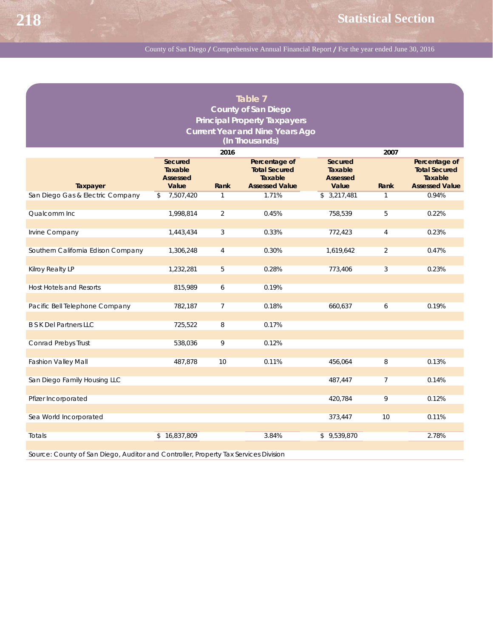|                                    |                                       |                | Table 7                                          |                                       |                |                                                  |
|------------------------------------|---------------------------------------|----------------|--------------------------------------------------|---------------------------------------|----------------|--------------------------------------------------|
|                                    |                                       |                | <b>County of San Diego</b>                       |                                       |                |                                                  |
|                                    |                                       |                | <b>Principal Property Taxpayers</b>              |                                       |                |                                                  |
|                                    |                                       |                | <b>Current Year and Nine Years Ago</b>           |                                       |                |                                                  |
|                                    |                                       |                | (In Thousands)                                   |                                       |                |                                                  |
|                                    |                                       | 2016           |                                                  |                                       | 2007           |                                                  |
|                                    | Secured<br>Taxable<br><b>Assessed</b> |                | Percentage of<br><b>Total Secured</b><br>Taxable | Secured<br>Taxable<br><b>Assessed</b> |                | Percentage of<br><b>Total Secured</b><br>Taxable |
| Taxpayer                           | Value                                 | Rank           | <b>Assessed Value</b>                            | Value                                 | Rank           | <b>Assessed Value</b>                            |
| San Diego Gas & Electric Company   | 7,507,420<br>\$                       | 1              | 1.71%                                            | \$3,217,481                           | 1              | 0.94%                                            |
| Qualcomm Inc                       | 1,998,814                             | $\overline{a}$ | 0.45%                                            | 758,539                               | 5              | 0.22%                                            |
|                                    |                                       |                |                                                  |                                       |                |                                                  |
| Irvine Company                     | 1,443,434                             | 3              | 0.33%                                            | 772,423                               | 4              | 0.23%                                            |
| Southern California Edison Company | 1,306,248                             | $\overline{4}$ | 0.30%                                            | 1,619,642                             | $\overline{2}$ | 0.47%                                            |
|                                    |                                       |                |                                                  |                                       |                |                                                  |
| Kilroy Realty LP                   | 1,232,281                             | 5              | 0.28%                                            | 773,406                               | 3              | 0.23%                                            |
|                                    |                                       |                |                                                  |                                       |                |                                                  |
| <b>Host Hotels and Resorts</b>     | 815,989                               | 6              | 0.19%                                            |                                       |                |                                                  |
| Pacific Bell Telephone Company     | 782,187                               | $\overline{7}$ | 0.18%                                            | 660,637                               | 6              | 0.19%                                            |
|                                    |                                       |                |                                                  |                                       |                |                                                  |
| <b>B S K Del Partners LLC</b>      | 725,522                               | 8              | 0.17%                                            |                                       |                |                                                  |
| Conrad Prebys Trust                | 538,036                               |                | 0.12%                                            |                                       |                |                                                  |
|                                    |                                       | 9              |                                                  |                                       |                |                                                  |
| <b>Fashion Valley Mall</b>         | 487,878                               | 10             | 0.11%                                            | 456,064                               | 8              | 0.13%                                            |
|                                    |                                       |                |                                                  |                                       |                |                                                  |
| San Diego Family Housing LLC       |                                       |                |                                                  | 487,447                               | 7              | 0.14%                                            |
| Pfizer Incorporated                |                                       |                |                                                  | 420,784                               | 9              | 0.12%                                            |
|                                    |                                       |                |                                                  |                                       |                |                                                  |
| Sea World Incorporated             |                                       |                |                                                  | 373,447                               | 10             | 0.11%                                            |
|                                    |                                       |                |                                                  |                                       |                |                                                  |
| Totals                             | \$16,837,809                          |                | 3.84%                                            | \$9,539,870                           |                | 2.78%                                            |
|                                    |                                       |                |                                                  |                                       |                |                                                  |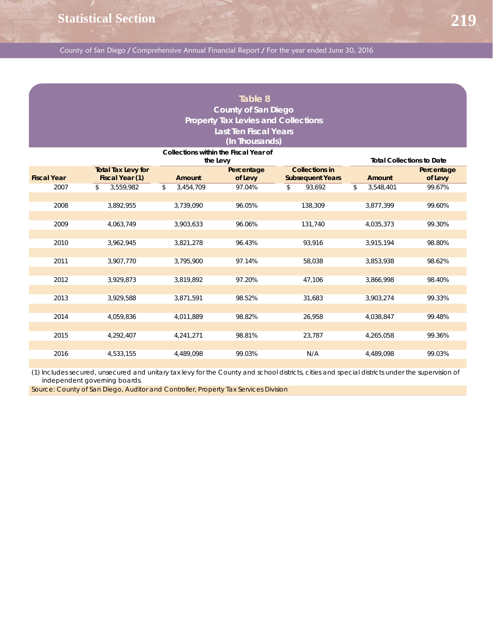## **Table 8 County of San Diego Property Tax Levies and Collections Last Ten Fiscal Years (In Thousands)**

|                    |                                              | Collections within the Fiscal Year of<br>the Levy |                       |                                                  | <b>Total Collections to Date</b> |                       |
|--------------------|----------------------------------------------|---------------------------------------------------|-----------------------|--------------------------------------------------|----------------------------------|-----------------------|
| <b>Fiscal Year</b> | <b>Total Tax Levy for</b><br>Fiscal Year (1) | Amount                                            | Percentage<br>of Levy | <b>Collections in</b><br><b>Subsequent Years</b> | <b>Amount</b>                    | Percentage<br>of Levy |
| 2007               | \$<br>3,559,982                              | \$<br>3,454,709                                   | 97.04%                | 93,692<br>\$                                     | 3,548,401<br>\$                  | 99.67%                |
| 2008               | 3,892,955                                    | 3,739,090                                         | 96.05%                | 138,309                                          | 3,877,399                        | 99.60%                |
| 2009               | 4,063,749                                    | 3,903,633                                         | 96.06%                | 131,740                                          | 4,035,373                        | 99.30%                |
| 2010               | 3,962,945                                    | 3,821,278                                         | 96.43%                | 93,916                                           | 3,915,194                        | 98.80%                |
| 2011               | 3,907,770                                    | 3,795,900                                         | 97.14%                | 58,038                                           | 3,853,938                        | 98.62%                |
| 2012               | 3,929,873                                    | 3,819,892                                         | 97.20%                | 47,106                                           | 3,866,998                        | 98.40%                |
| 2013               | 3,929,588                                    | 3,871,591                                         | 98.52%                | 31,683                                           | 3,903,274                        | 99.33%                |
| 2014               | 4,059,836                                    | 4,011,889                                         | 98.82%                | 26,958                                           | 4,038,847                        | 99.48%                |
| 2015               | 4,292,407                                    | 4,241,271                                         | 98.81%                | 23,787                                           | 4,265,058                        | 99.36%                |
|                    |                                              |                                                   |                       |                                                  |                                  |                       |
| 2016               | 4,533,155                                    | 4,489,098                                         | 99.03%                | N/A                                              | 4,489,098                        | 99.03%                |

(1) Includes secured, unsecured and unitary tax levy for the County and school districts, cities and special districts under the supervision of independent governing boards.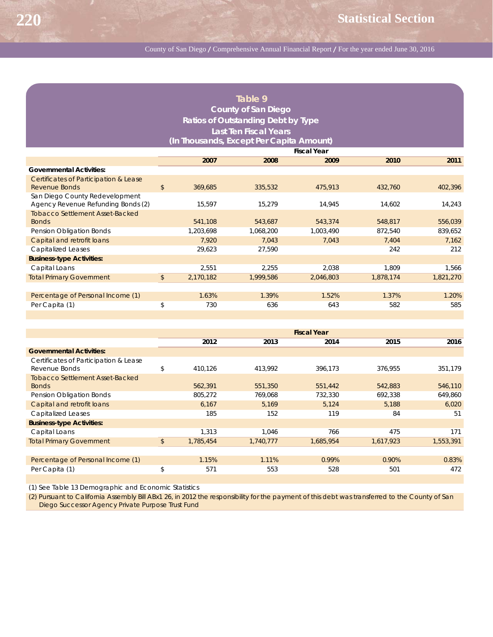|                                                                      |               |           | Table 9                            |                    |           |           |  |  |  |
|----------------------------------------------------------------------|---------------|-----------|------------------------------------|--------------------|-----------|-----------|--|--|--|
|                                                                      |               |           | <b>County of San Diego</b>         |                    |           |           |  |  |  |
|                                                                      |               |           | Ratios of Outstanding Debt by Type |                    |           |           |  |  |  |
|                                                                      |               |           | <b>Last Ten Fiscal Years</b>       |                    |           |           |  |  |  |
| (In Thousands, Except Per Capita Amount)                             |               |           |                                    |                    |           |           |  |  |  |
|                                                                      |               |           |                                    | <b>Fiscal Year</b> |           |           |  |  |  |
|                                                                      |               | 2007      | 2008                               | 2009               | 2010      | 2011      |  |  |  |
| <b>Governmental Activities:</b>                                      |               |           |                                    |                    |           |           |  |  |  |
| Certificates of Participation & Lease                                |               |           |                                    |                    |           |           |  |  |  |
| Revenue Bonds                                                        | $\frac{1}{2}$ | 369,685   | 335,532                            | 475.913            | 432,760   | 402,396   |  |  |  |
| San Diego County Redevelopment<br>Agency Revenue Refunding Bonds (2) |               | 15,597    | 15,279                             | 14,945             | 14,602    | 14,243    |  |  |  |
| <b>Tobacco Settlement Asset-Backed</b>                               |               |           |                                    |                    |           |           |  |  |  |
| <b>Bonds</b>                                                         |               | 541.108   | 543,687                            | 543.374            | 548,817   | 556,039   |  |  |  |
| Pension Obligation Bonds                                             |               | 1,203,698 | 1,068,200                          | 1,003,490          | 872,540   | 839,652   |  |  |  |
| Capital and retrofit loans                                           |               | 7,920     | 7,043                              | 7,043              | 7,404     | 7,162     |  |  |  |
| <b>Capitalized Leases</b>                                            |               | 29,623    | 27,590                             |                    | 242       | 212       |  |  |  |
| <b>Business-type Activities:</b>                                     |               |           |                                    |                    |           |           |  |  |  |
| Capital Loans                                                        |               | 2,551     | 2.255                              | 2,038              | 1.809     | 1,566     |  |  |  |
| <b>Total Primary Government</b>                                      | \$            | 2,170,182 | 1,999,586                          | 2,046,803          | 1,878,174 | 1,821,270 |  |  |  |
|                                                                      |               |           |                                    |                    |           |           |  |  |  |
| Percentage of Personal Income (1)                                    |               | 1.63%     | 1.39%                              | 1.52%              | 1.37%     | 1.20%     |  |  |  |
| Per Capita (1)                                                       | \$            | 730       | 636                                | 643                | 582       | 585       |  |  |  |

|                                        | <b>Fiscal Year</b> |           |           |           |           |  |  |
|----------------------------------------|--------------------|-----------|-----------|-----------|-----------|--|--|
|                                        | 2012               | 2013      | 2014      | 2015      | 2016      |  |  |
| <b>Governmental Activities:</b>        |                    |           |           |           |           |  |  |
| Certificates of Participation & Lease  |                    |           |           |           |           |  |  |
| Revenue Bonds                          | \$<br>410,126      | 413.992   | 396.173   | 376.955   | 351,179   |  |  |
| <b>Tobacco Settlement Asset-Backed</b> |                    |           |           |           |           |  |  |
| <b>Bonds</b>                           | 562,391            | 551,350   | 551,442   | 542,883   | 546,110   |  |  |
| Pension Obligation Bonds               | 805,272            | 769.068   | 732,330   | 692.338   | 649.860   |  |  |
| Capital and retrofit loans             | 6,167              | 5,169     | 5,124     | 5,188     | 6,020     |  |  |
| <b>Capitalized Leases</b>              | 185                | 152       | 119       | 84        | 51        |  |  |
| <b>Business-type Activities:</b>       |                    |           |           |           |           |  |  |
| Capital Loans                          | 1.313              | 1.046     | 766       | 475       | 171       |  |  |
| <b>Total Primary Government</b>        | \$<br>1,785,454    | 1,740,777 | 1,685,954 | 1,617,923 | 1,553,391 |  |  |
|                                        |                    |           |           |           |           |  |  |
| Percentage of Personal Income (1)      | 1.15%              | 1.11%     | 0.99%     | 0.90%     | 0.83%     |  |  |
| Per Capita (1)                         | \$<br>571          | 553       | 528       | 501       | 472       |  |  |
|                                        |                    |           |           |           |           |  |  |

(1) See Table 13 Demographic and Economic Statistics

(2) Pursuant to California Assembly Bill ABx1 26, in 2012 the responsibility for the payment of this debt was transferred to the County of San Diego Successor Agency Private Purpose Trust Fund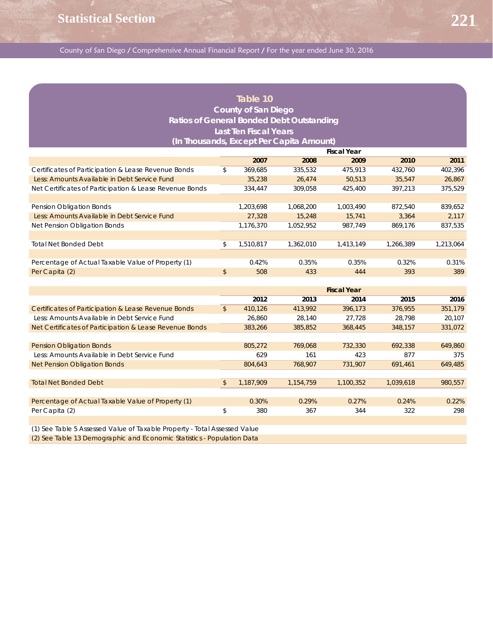## **Table 10 County of San Diego Ratios of General Bonded Debt Outstanding Last Ten Fiscal Years (In Thousands, Except Per Capita Amount)**

**221**

|                                                         | <b>Fiscal Year</b> |           |           |           |           |  |  |
|---------------------------------------------------------|--------------------|-----------|-----------|-----------|-----------|--|--|
|                                                         | 2007               | 2008      | 2009      | 2010      | 2011      |  |  |
| Certificates of Participation & Lease Revenue Bonds     | \$<br>369,685      | 335,532   | 475,913   | 432.760   | 402,396   |  |  |
| Less: Amounts Available in Debt Service Fund            | 35,238             | 26.474    | 50,513    | 35,547    | 26,867    |  |  |
| Net Certificates of Participation & Lease Revenue Bonds | 334,447            | 309.058   | 425,400   | 397.213   | 375,529   |  |  |
|                                                         |                    |           |           |           |           |  |  |
| Pension Obligation Bonds                                | 1,203,698          | 1.068.200 | 1.003.490 | 872.540   | 839.652   |  |  |
| Less: Amounts Available in Debt Service Fund            | 27,328             | 15,248    | 15,741    | 3.364     | 2.117     |  |  |
| Net Pension Obligation Bonds                            | 1,176,370          | 1,052,952 | 987.749   | 869.176   | 837,535   |  |  |
|                                                         |                    |           |           |           |           |  |  |
| <b>Total Net Bonded Debt</b>                            | \$<br>1.510.817    | 1.362.010 | 1,413,149 | 1,266,389 | 1,213,064 |  |  |
|                                                         |                    |           |           |           |           |  |  |
| Percentage of Actual Taxable Value of Property (1)      | 0.42%              | 0.35%     | 0.35%     | 0.32%     | 0.31%     |  |  |
| Per Capita (2)                                          | \$<br>508          | 433       | 444       | 393       | 389       |  |  |
|                                                         |                    |           |           |           |           |  |  |

|                                                                          |               | <b>Fiscal Year</b> |           |           |           |         |  |  |
|--------------------------------------------------------------------------|---------------|--------------------|-----------|-----------|-----------|---------|--|--|
|                                                                          |               | 2012               | 2013      | 2014      | 2015      | 2016    |  |  |
| Certificates of Participation & Lease Revenue Bonds                      | $\frac{1}{2}$ | 410,126            | 413,992   | 396,173   | 376,955   | 351,179 |  |  |
| Less: Amounts Available in Debt Service Fund                             |               | 26.860             | 28.140    | 27.728    | 28.798    | 20.107  |  |  |
| Net Certificates of Participation & Lease Revenue Bonds                  |               | 383,266            | 385,852   | 368,445   | 348,157   | 331,072 |  |  |
|                                                                          |               |                    |           |           |           |         |  |  |
| <b>Pension Obligation Bonds</b>                                          |               | 805,272            | 769.068   | 732,330   | 692.338   | 649,860 |  |  |
| Less: Amounts Available in Debt Service Fund                             |               | 629                | 161       | 423       | 877       | 375     |  |  |
| <b>Net Pension Obligation Bonds</b>                                      |               | 804,643            | 768.907   | 731,907   | 691,461   | 649,485 |  |  |
|                                                                          |               |                    |           |           |           |         |  |  |
| <b>Total Net Bonded Debt</b>                                             | \$            | 1,187,909          | 1,154,759 | 1,100,352 | 1,039,618 | 980,557 |  |  |
|                                                                          |               |                    |           |           |           |         |  |  |
| Percentage of Actual Taxable Value of Property (1)                       |               | 0.30%              | 0.29%     | 0.27%     | 0.24%     | 0.22%   |  |  |
| Per Capita (2)                                                           | \$            | 380                | 367       | 344       | 322       | 298     |  |  |
|                                                                          |               |                    |           |           |           |         |  |  |
| (1) See Toble E Assessed Value of Toyoble Draperty, Total Assessed Value |               |                    |           |           |           |         |  |  |

(1) See Table 5 Assessed Value of Taxable Property - Total Assessed Value (2) See Table 13 Demographic and Economic Statistics - Population Data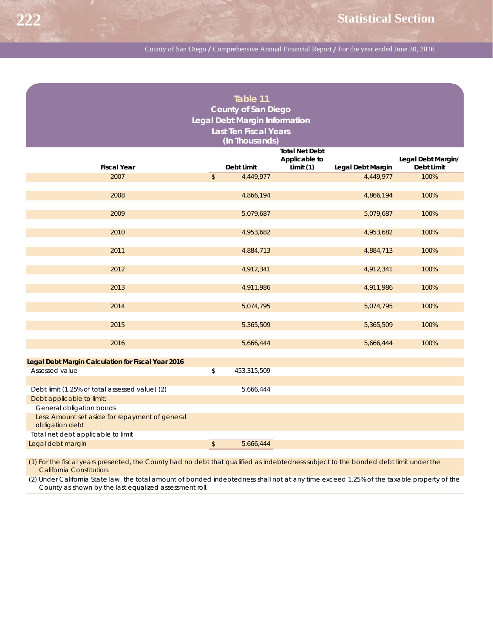|                                                                    |               | Table 11                      |                            |                   |                                  |
|--------------------------------------------------------------------|---------------|-------------------------------|----------------------------|-------------------|----------------------------------|
|                                                                    |               |                               |                            |                   |                                  |
|                                                                    |               | <b>County of San Diego</b>    |                            |                   |                                  |
|                                                                    |               | Legal Debt Margin Information |                            |                   |                                  |
|                                                                    |               | <b>Last Ten Fiscal Years</b>  |                            |                   |                                  |
|                                                                    |               | (In Thousands)                |                            |                   |                                  |
|                                                                    |               |                               | <b>Total Net Debt</b>      |                   |                                  |
| <b>Fiscal Year</b>                                                 |               | Debt Limit                    | Applicable to<br>Limit (1) | Legal Debt Margin | Legal Debt Margin/<br>Debt Limit |
| 2007                                                               | $\mathcal{L}$ | 4,449,977                     |                            | 4,449,977         | 100%                             |
|                                                                    |               |                               |                            |                   |                                  |
| 2008                                                               |               | 4,866,194                     |                            | 4,866,194         | 100%                             |
|                                                                    |               |                               |                            |                   |                                  |
| 2009                                                               |               | 5,079,687                     |                            | 5,079,687         | 100%                             |
|                                                                    |               |                               |                            |                   |                                  |
| 2010                                                               |               | 4,953,682                     |                            | 4,953,682         | 100%                             |
|                                                                    |               |                               |                            |                   |                                  |
| 2011                                                               |               | 4,884,713                     |                            | 4,884,713         | 100%                             |
| 2012                                                               |               | 4,912,341                     |                            | 4,912,341         | 100%                             |
|                                                                    |               |                               |                            |                   |                                  |
| 2013                                                               |               | 4,911,986                     |                            | 4,911,986         | 100%                             |
|                                                                    |               |                               |                            |                   |                                  |
| 2014                                                               |               | 5,074,795                     |                            | 5,074,795         | 100%                             |
|                                                                    |               |                               |                            |                   |                                  |
| 2015                                                               |               | 5,365,509                     |                            | 5,365,509         | 100%                             |
|                                                                    |               |                               |                            |                   |                                  |
| 2016                                                               |               | 5,666,444                     |                            | 5,666,444         | 100%                             |
| Legal Debt Margin Calculation for Fiscal Year 2016                 |               |                               |                            |                   |                                  |
| Assessed value                                                     | \$            | 453,315,509                   |                            |                   |                                  |
|                                                                    |               |                               |                            |                   |                                  |
| Debt limit (1.25% of total assessed value) (2)                     |               | 5,666,444                     |                            |                   |                                  |
| Debt applicable to limit:                                          |               |                               |                            |                   |                                  |
| General obligation bonds                                           |               |                               |                            |                   |                                  |
| Less: Amount set aside for repayment of general<br>obligation debt |               |                               |                            |                   |                                  |
| Total net debt applicable to limit                                 |               |                               |                            |                   |                                  |
| Legal debt margin                                                  | $\sqrt{2}$    | 5,666,444                     |                            |                   |                                  |
|                                                                    |               |                               |                            |                   |                                  |

(1) For the fiscal years presented, the County had no debt that qualified as indebtedness subject to the bonded debt limit under the California Constitution.

(2) Under California State law, the total amount of bonded indebtedness shall not at any time exceed 1.25% of the taxable property of the County as shown by the last equalized assessment roll.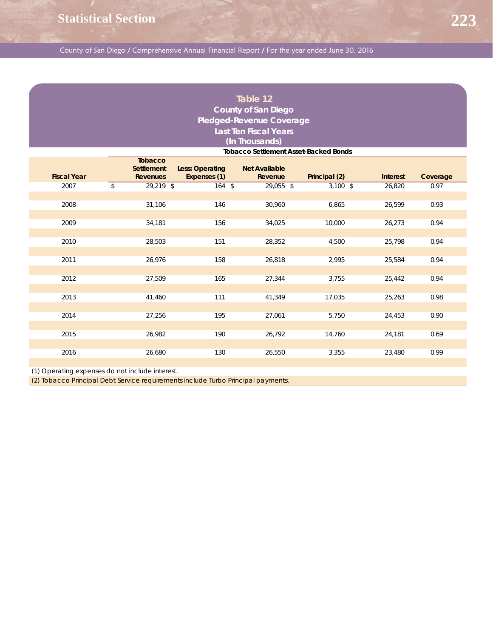### **Table 12 County of San Diego Pledged-Revenue Coverage Last Ten Fiscal Years (In Thousands)**

|                    | <b>Tobacco Settlement Asset-Backed Bonds</b>    |                                 |                                 |               |                 |          |  |  |  |  |
|--------------------|-------------------------------------------------|---------------------------------|---------------------------------|---------------|-----------------|----------|--|--|--|--|
| <b>Fiscal Year</b> | <b>Tobacco</b><br>Settlement<br><b>Revenues</b> | Less: Operating<br>Expenses (1) | <b>Net Available</b><br>Revenue | Principal (2) | <b>Interest</b> | Coverage |  |  |  |  |
| 2007               | \$<br>29,219 \$                                 | $164$ \$                        | 29,055 \$                       | $3,100$ \$    | 26,820          | 0.97     |  |  |  |  |
|                    |                                                 |                                 |                                 |               |                 |          |  |  |  |  |
| 2008               | 31,106                                          | 146                             | 30,960                          | 6,865         | 26,599          | 0.93     |  |  |  |  |
| 2009               | 34,181                                          | 156                             | 34,025                          | 10,000        | 26,273          | 0.94     |  |  |  |  |
| 2010               | 28,503                                          | 151                             | 28,352                          | 4,500         | 25,798          | 0.94     |  |  |  |  |
| 2011               | 26,976                                          | 158                             | 26,818                          | 2,995         | 25,584          | 0.94     |  |  |  |  |
| 2012               | 27,509                                          | 165                             | 27,344                          | 3,755         | 25,442          | 0.94     |  |  |  |  |
| 2013               | 41,460                                          | 111                             | 41,349                          | 17,035        | 25,263          | 0.98     |  |  |  |  |
| 2014               | 27,256                                          | 195                             | 27,061                          | 5,750         | 24,453          | 0.90     |  |  |  |  |
| 2015               | 26,982                                          | 190                             | 26,792                          | 14,760        | 24,181          | 0.69     |  |  |  |  |
| 2016               | 26,680                                          | 130                             | 26,550                          | 3,355         | 23,480          | 0.99     |  |  |  |  |

(1) Operating expenses do not include interest.

(2) Tobacco Principal Debt Service requirements include Turbo Principal payments.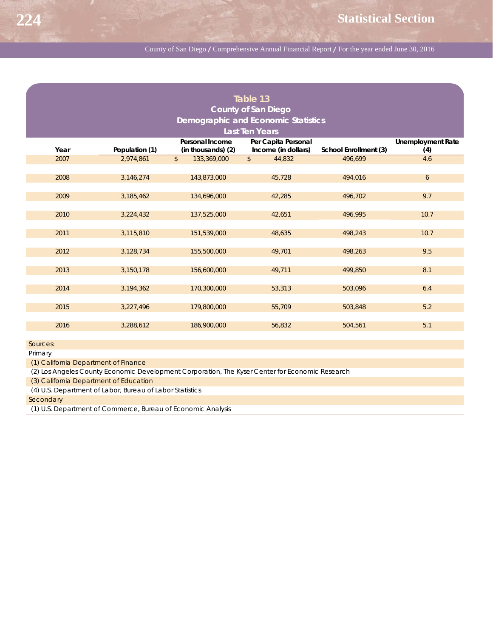|      |                                            |                              | Table 13                   |                       |                          |  |  |  |  |  |  |
|------|--------------------------------------------|------------------------------|----------------------------|-----------------------|--------------------------|--|--|--|--|--|--|
|      |                                            |                              | <b>County of San Diego</b> |                       |                          |  |  |  |  |  |  |
|      | <b>Demographic and Economic Statistics</b> |                              |                            |                       |                          |  |  |  |  |  |  |
|      |                                            |                              | <b>Last Ten Years</b>      |                       |                          |  |  |  |  |  |  |
|      |                                            | Personal Income              | Per Capita Personal        |                       | <b>Unemployment Rate</b> |  |  |  |  |  |  |
| Year | Population (1)                             | (in thousands) (2)           | Income (in dollars)        | School Enrollment (3) | (4)                      |  |  |  |  |  |  |
| 2007 | 2,974,861                                  | $\mathsf{\$}$<br>133,369,000 | $\frac{1}{2}$<br>44.832    | 496,699               | 4.6                      |  |  |  |  |  |  |
|      |                                            |                              |                            |                       |                          |  |  |  |  |  |  |
| 2008 | 3,146,274                                  | 143,873,000                  | 45,728                     | 494,016               | 6                        |  |  |  |  |  |  |
|      |                                            |                              |                            |                       |                          |  |  |  |  |  |  |
| 2009 | 3,185,462                                  | 134,696,000                  | 42,285                     | 496,702               | 9.7                      |  |  |  |  |  |  |
|      |                                            |                              |                            |                       |                          |  |  |  |  |  |  |
| 2010 | 3,224,432                                  | 137,525,000                  | 42,651                     | 496,995               | 10.7                     |  |  |  |  |  |  |
|      |                                            |                              |                            |                       |                          |  |  |  |  |  |  |
| 2011 | 3,115,810                                  | 151,539,000                  | 48,635                     | 498,243               | 10.7                     |  |  |  |  |  |  |
|      |                                            |                              |                            |                       |                          |  |  |  |  |  |  |
| 2012 | 3,128,734                                  | 155,500,000                  | 49,701                     | 498,263               | 9.5                      |  |  |  |  |  |  |
|      |                                            |                              |                            |                       |                          |  |  |  |  |  |  |
| 2013 | 3,150,178                                  | 156,600,000                  | 49,711                     | 499,850               | 8.1                      |  |  |  |  |  |  |
|      |                                            |                              |                            |                       |                          |  |  |  |  |  |  |
| 2014 | 3,194,362                                  | 170,300,000                  | 53,313                     | 503,096               | 6.4                      |  |  |  |  |  |  |
|      |                                            |                              |                            |                       |                          |  |  |  |  |  |  |
| 2015 | 3,227,496                                  | 179,800,000                  | 55,709                     | 503,848               | 5.2                      |  |  |  |  |  |  |
|      |                                            |                              |                            |                       |                          |  |  |  |  |  |  |
| 2016 | 3,288,612                                  | 186,900,000                  | 56,832                     | 504,561               | 5.1                      |  |  |  |  |  |  |

Sources:

Primary

(1) California Department of Finance

(2) Los Angeles County Economic Development Corporation, The Kyser Center for Economic Research

(3) California Department of Education

(4) U.S. Department of Labor, Bureau of Labor Statistics

**Secondary** 

(1) U.S. Department of Commerce, Bureau of Economic Analysis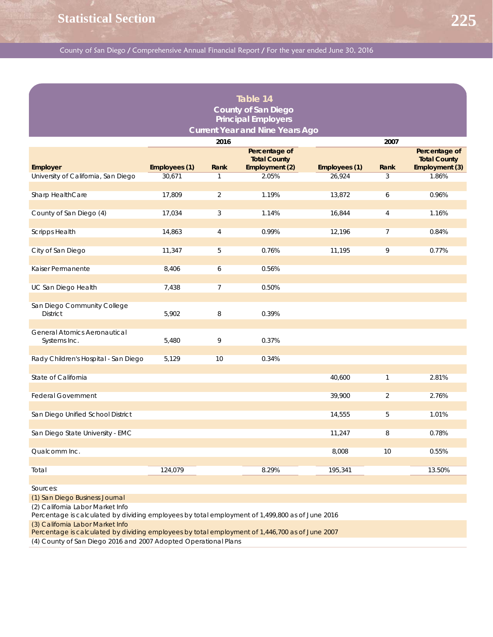| Table 14<br><b>County of San Diego</b><br><b>Principal Employers</b><br><b>Current Year and Nine Years Ago</b> |               |                |                                                        |               |                |                                                        |  |  |  |  |
|----------------------------------------------------------------------------------------------------------------|---------------|----------------|--------------------------------------------------------|---------------|----------------|--------------------------------------------------------|--|--|--|--|
|                                                                                                                |               | 2016           |                                                        |               | 2007           |                                                        |  |  |  |  |
| Employer                                                                                                       | Employees (1) | Rank           | Percentage of<br><b>Total County</b><br>Employment (2) | Employees (1) | Rank           | Percentage of<br><b>Total County</b><br>Employment (3) |  |  |  |  |
| University of California, San Diego                                                                            | 30,671        | $\mathbf{1}$   | 2.05%                                                  | 26,924        | 3              | 1.86%                                                  |  |  |  |  |
| Sharp HealthCare                                                                                               | 17,809        | 2              | 1.19%                                                  | 13,872        | 6              | 0.96%                                                  |  |  |  |  |
| County of San Diego (4)                                                                                        | 17,034        | 3              | 1.14%                                                  | 16,844        | $\overline{4}$ | 1.16%                                                  |  |  |  |  |
| <b>Scripps Health</b>                                                                                          | 14,863        | $\overline{4}$ | 0.99%                                                  | 12,196        | $\overline{7}$ | 0.84%                                                  |  |  |  |  |
| City of San Diego                                                                                              | 11,347        | 5              | 0.76%                                                  | 11,195        | 9              | 0.77%                                                  |  |  |  |  |
| Kaiser Permanente                                                                                              | 8,406         | 6              | 0.56%                                                  |               |                |                                                        |  |  |  |  |
| UC San Diego Health                                                                                            | 7,438         | $\overline{7}$ | 0.50%                                                  |               |                |                                                        |  |  |  |  |
| San Diego Community College<br><b>District</b>                                                                 | 5,902         | 8              | 0.39%                                                  |               |                |                                                        |  |  |  |  |
| <b>General Atomics Aeronautical</b><br>Systems Inc.                                                            | 5,480         | 9              | 0.37%                                                  |               |                |                                                        |  |  |  |  |
| Rady Children's Hospital - San Diego                                                                           | 5,129         | 10             | 0.34%                                                  |               |                |                                                        |  |  |  |  |
| State of California                                                                                            |               |                |                                                        | 40,600        | $\mathbf{1}$   | 2.81%                                                  |  |  |  |  |
| <b>Federal Government</b>                                                                                      |               |                |                                                        | 39,900        | $\overline{2}$ | 2.76%                                                  |  |  |  |  |
| San Diego Unified School District                                                                              |               |                |                                                        | 14,555        | 5              | 1.01%                                                  |  |  |  |  |
| San Diego State University - EMC                                                                               |               |                |                                                        | 11,247        | 8              | 0.78%                                                  |  |  |  |  |
| Qualcomm Inc.                                                                                                  |               |                |                                                        | 8,008         | 10             | 0.55%                                                  |  |  |  |  |
| Total                                                                                                          | 124,079       |                | 8.29%                                                  | 195,341       |                | 13.50%                                                 |  |  |  |  |
|                                                                                                                |               |                |                                                        |               |                |                                                        |  |  |  |  |

Sources:

(1) San Diego Business Journal

(2) California Labor Market Info

Percentage is calculated by dividing employees by total employment of 1,499,800 as of June 2016

(3) California Labor Market Info

Percentage is calculated by dividing employees by total employment of 1,446,700 as of June 2007

(4) County of San Diego 2016 and 2007 Adopted Operational Plans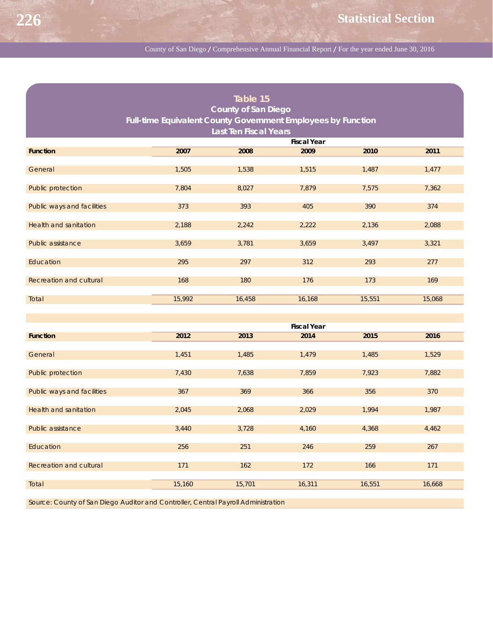| Table 15                                                            |        |                    |        |        |        |  |  |  |  |  |
|---------------------------------------------------------------------|--------|--------------------|--------|--------|--------|--|--|--|--|--|
| <b>County of San Diego</b>                                          |        |                    |        |        |        |  |  |  |  |  |
| <b>Full-time Equivalent County Government Employees by Function</b> |        |                    |        |        |        |  |  |  |  |  |
| <b>Last Ten Fiscal Years</b>                                        |        |                    |        |        |        |  |  |  |  |  |
| <b>Fiscal Year</b>                                                  |        |                    |        |        |        |  |  |  |  |  |
| <b>Function</b>                                                     | 2007   | 2008               | 2009   | 2010   | 2011   |  |  |  |  |  |
|                                                                     |        |                    |        |        |        |  |  |  |  |  |
| General                                                             | 1,505  | 1,538              | 1,515  | 1,487  | 1,477  |  |  |  |  |  |
|                                                                     |        |                    |        |        |        |  |  |  |  |  |
| Public protection                                                   | 7,804  | 8,027              | 7,879  | 7,575  | 7,362  |  |  |  |  |  |
| Public ways and facilities                                          | 373    | 393                | 405    | 390    | 374    |  |  |  |  |  |
|                                                                     |        |                    |        |        |        |  |  |  |  |  |
| <b>Health and sanitation</b>                                        | 2,188  | 2,242              | 2,222  | 2,136  | 2,088  |  |  |  |  |  |
|                                                                     |        |                    |        |        |        |  |  |  |  |  |
| Public assistance                                                   | 3,659  | 3,781              | 3,659  | 3,497  | 3,321  |  |  |  |  |  |
|                                                                     |        |                    |        |        |        |  |  |  |  |  |
| Education                                                           | 295    | 297                | 312    | 293    | 277    |  |  |  |  |  |
| <b>Recreation and cultural</b>                                      | 168    | 180                | 176    | 173    | 169    |  |  |  |  |  |
|                                                                     |        |                    |        |        |        |  |  |  |  |  |
| Total                                                               | 15,992 | 16,458             | 16,168 | 15,551 | 15,068 |  |  |  |  |  |
|                                                                     |        |                    |        |        |        |  |  |  |  |  |
|                                                                     |        |                    |        |        |        |  |  |  |  |  |
|                                                                     |        | <b>Fiscal Year</b> |        |        |        |  |  |  |  |  |
| <b>Function</b>                                                     | 2012   | 2013               | 2014   | 2015   | 2016   |  |  |  |  |  |
| General                                                             | 1,451  | 1,485              | 1,479  | 1,485  | 1,529  |  |  |  |  |  |
|                                                                     |        |                    |        |        |        |  |  |  |  |  |
| Public protection                                                   | 7,430  | 7,638              | 7,859  | 7,923  | 7,882  |  |  |  |  |  |
|                                                                     |        |                    |        |        |        |  |  |  |  |  |
| Public ways and facilities                                          | 367    | 369                | 366    | 356    | 370    |  |  |  |  |  |
|                                                                     |        |                    |        |        |        |  |  |  |  |  |
| <b>Health and sanitation</b>                                        | 2,045  | 2,068              | 2,029  | 1,994  | 1,987  |  |  |  |  |  |
| Public assistance                                                   | 3,440  | 3,728              | 4,160  | 4,368  | 4,462  |  |  |  |  |  |
|                                                                     |        |                    |        |        |        |  |  |  |  |  |
| Education                                                           | 256    | 251                | 246    | 259    | 267    |  |  |  |  |  |
|                                                                     |        |                    |        |        |        |  |  |  |  |  |
| Recreation and cultural                                             | 171    | 162                | 172    | 166    | 171    |  |  |  |  |  |
|                                                                     |        |                    |        |        |        |  |  |  |  |  |
| Total                                                               | 15,160 | 15,701             | 16,311 | 16,551 | 16,668 |  |  |  |  |  |

Source: County of San Diego Auditor and Controller, Central Payroll Administration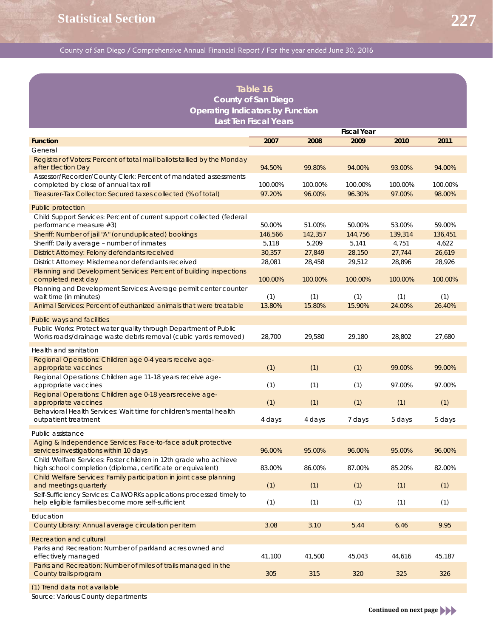## **Table 16 County of San Diego Operating Indicators by Function Last Ten Fiscal Years**

|                                                                                                                                     | <b>Fiscal Year</b> |         |         |         |         |  |
|-------------------------------------------------------------------------------------------------------------------------------------|--------------------|---------|---------|---------|---------|--|
| <b>Function</b>                                                                                                                     | 2007               | 2008    | 2009    | 2010    | 2011    |  |
| General                                                                                                                             |                    |         |         |         |         |  |
| Registrar of Voters: Percent of total mail ballots tallied by the Monday<br>after Election Day                                      | 94.50%             | 99.80%  | 94.00%  | 93.00%  | 94.00%  |  |
| Assessor/Recorder/County Clerk: Percent of mandated assessments<br>completed by close of annual tax roll                            | 100.00%            | 100.00% | 100.00% | 100.00% | 100.00% |  |
| Treasurer-Tax Collector: Secured taxes collected (% of total)                                                                       | 97.20%             | 96.00%  | 96.30%  | 97.00%  | 98.00%  |  |
| <b>Public protection</b>                                                                                                            |                    |         |         |         |         |  |
| Child Support Services: Percent of current support collected (federal<br>performance measure #3)                                    | 50.00%             | 51.00%  | 50.00%  | 53.00%  | 59.00%  |  |
| Sheriff: Number of jail "A" (or unduplicated) bookings                                                                              | 146,566            | 142,357 | 144,756 | 139,314 | 136,451 |  |
| Sheriff: Daily average - number of inmates                                                                                          | 5,118              | 5,209   | 5,141   | 4,751   | 4,622   |  |
| District Attorney: Felony defendants received                                                                                       | 30,357             | 27,849  | 28,150  | 27,744  | 26,619  |  |
| District Attorney: Misdemeanor defendants received                                                                                  | 28,081             | 28,458  | 29,512  | 28,896  | 28,926  |  |
| Planning and Development Services: Percent of building inspections<br>completed next day                                            | 100.00%            | 100.00% | 100.00% | 100.00% | 100.00% |  |
| Planning and Development Services: Average permit center counter<br>wait time (in minutes)                                          | (1)                | (1)     | (1)     | (1)     | (1)     |  |
| Animal Services: Percent of euthanized animals that were treatable                                                                  | 13.80%             | 15.80%  | 15.90%  | 24.00%  | 26.40%  |  |
| Public ways and facilities                                                                                                          |                    |         |         |         |         |  |
| Public Works: Protect water quality through Department of Public<br>Works roads/drainage waste debris removal (cubic yards removed) | 28,700             | 29,580  | 29,180  | 28,802  | 27,680  |  |
| Health and sanitation                                                                                                               |                    |         |         |         |         |  |
| Regional Operations: Children age 0-4 years receive age-<br>appropriate vaccines                                                    | (1)                | (1)     | (1)     | 99.00%  | 99.00%  |  |
| Regional Operations: Children age 11-18 years receive age-<br>appropriate vaccines                                                  | (1)                | (1)     | (1)     | 97.00%  | 97.00%  |  |
| Regional Operations: Children age 0-18 years receive age-<br>appropriate vaccines                                                   | (1)                | (1)     | (1)     | (1)     | (1)     |  |
| Behavioral Health Services: Wait time for children's mental health<br>outpatient treatment                                          | 4 days             | 4 days  | 7 days  | 5 days  | 5 days  |  |
| Public assistance                                                                                                                   |                    |         |         |         |         |  |
| Aging & Independence Services: Face-to-face adult protective<br>services investigations within 10 days                              | 96.00%             | 95.00%  | 96.00%  | 95.00%  | 96.00%  |  |
| Child Welfare Services: Foster children in 12th grade who achieve<br>high school completion (diploma, certificate or equivalent)    | 83.00%             | 86.00%  | 87.00%  | 85.20%  | 82.00%  |  |
| Child Welfare Services: Family participation in joint case planning<br>and meetings quarterly                                       | (1)                | (1)     | (1)     | (1)     | (1)     |  |
| Self-Sufficiency Services: CalWORKs applications processed timely to<br>help eligible families become more self-sufficient          | (1)                | (1)     | (1)     | (1)     | (1)     |  |
| Education                                                                                                                           |                    |         |         |         |         |  |
| County Library: Annual average circulation per item                                                                                 | 3.08               | 3.10    | 5.44    | 6.46    | 9.95    |  |
| <b>Recreation and cultural</b>                                                                                                      |                    |         |         |         |         |  |
| Parks and Recreation: Number of parkland acres owned and<br>effectively managed                                                     | 41,100             | 41,500  | 45,043  | 44,616  | 45,187  |  |
| Parks and Recreation: Number of miles of trails managed in the<br>County trails program                                             | 305                | 315     | 320     | 325     | 326     |  |
|                                                                                                                                     |                    |         |         |         |         |  |
| (1) Trend data not available<br>Source: Various County departments                                                                  |                    |         |         |         |         |  |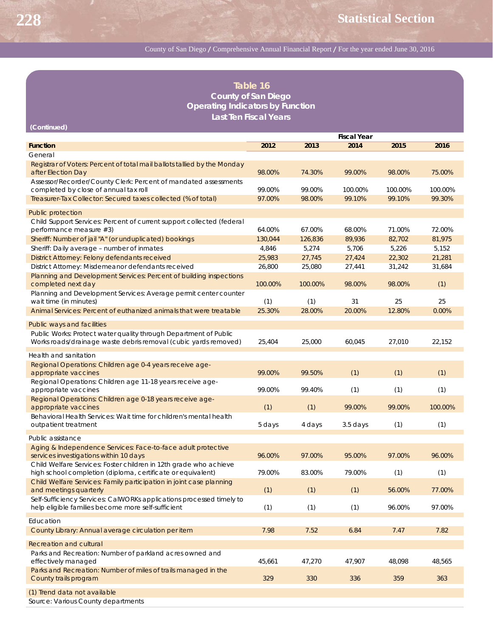| Table 16<br><b>County of San Diego</b>                                                                                                                            |                    |         |            |         |         |  |  |  |  |
|-------------------------------------------------------------------------------------------------------------------------------------------------------------------|--------------------|---------|------------|---------|---------|--|--|--|--|
| <b>Operating Indicators by Function</b>                                                                                                                           |                    |         |            |         |         |  |  |  |  |
| <b>Last Ten Fiscal Years</b><br>(Continued)                                                                                                                       |                    |         |            |         |         |  |  |  |  |
|                                                                                                                                                                   | <b>Fiscal Year</b> |         |            |         |         |  |  |  |  |
| <b>Function</b>                                                                                                                                                   | 2012               | 2013    | 2014       | 2015    | 2016    |  |  |  |  |
| General                                                                                                                                                           |                    |         |            |         |         |  |  |  |  |
| Registrar of Voters: Percent of total mail ballots tallied by the Monday<br>after Election Day                                                                    | 98.00%             | 74.30%  | 99.00%     | 98.00%  | 75.00%  |  |  |  |  |
| Assessor/Recorder/County Clerk: Percent of mandated assessments<br>completed by close of annual tax roll                                                          | 99.00%             | 99.00%  | 100.00%    | 100.00% | 100.00% |  |  |  |  |
| Treasurer-Tax Collector: Secured taxes collected (% of total)                                                                                                     | 97.00%             | 98.00%  | 99.10%     | 99.10%  | 99.30%  |  |  |  |  |
|                                                                                                                                                                   |                    |         |            |         |         |  |  |  |  |
| Public protection<br>Child Support Services: Percent of current support collected (federal                                                                        |                    |         |            |         |         |  |  |  |  |
| performance measure #3)                                                                                                                                           | 64.00%             | 67.00%  | 68.00%     | 71.00%  | 72.00%  |  |  |  |  |
| Sheriff: Number of jail "A" (or unduplicated) bookings                                                                                                            | 130,044            | 126,836 | 89,936     | 82,702  | 81,975  |  |  |  |  |
| Sheriff: Daily average - number of inmates                                                                                                                        | 4,846              | 5,274   | 5,706      | 5,226   | 5,152   |  |  |  |  |
| District Attorney: Felony defendants received                                                                                                                     | 25,983             | 27,745  | 27,424     | 22,302  | 21,281  |  |  |  |  |
| District Attorney: Misdemeanor defendants received                                                                                                                | 26,800             | 25,080  | 27,441     | 31,242  | 31,684  |  |  |  |  |
| Planning and Development Services: Percent of building inspections<br>completed next day                                                                          | 100.00%            | 100.00% | 98.00%     | 98.00%  | (1)     |  |  |  |  |
| Planning and Development Services: Average permit center counter                                                                                                  |                    |         |            |         |         |  |  |  |  |
| wait time (in minutes)                                                                                                                                            | (1)                | (1)     | 31         | 25      | 25      |  |  |  |  |
| Animal Services: Percent of euthanized animals that were treatable                                                                                                | 25.30%             | 28.00%  | 20.00%     | 12.80%  | 0.00%   |  |  |  |  |
| Public ways and facilities<br>Public Works: Protect water quality through Department of Public<br>Works roads/drainage waste debris removal (cubic yards removed) | 25,404             | 25,000  | 60,045     | 27,010  | 22,152  |  |  |  |  |
| Health and sanitation                                                                                                                                             |                    |         |            |         |         |  |  |  |  |
| Regional Operations: Children age 0-4 years receive age-<br>appropriate vaccines                                                                                  | 99.00%             | 99.50%  | (1)        | (1)     | (1)     |  |  |  |  |
| Regional Operations: Children age 11-18 years receive age-<br>appropriate vaccines                                                                                | 99.00%             | 99.40%  | (1)        | (1)     | (1)     |  |  |  |  |
| Regional Operations: Children age 0-18 years receive age-<br>appropriate vaccines                                                                                 | (1)                | (1)     | 99.00%     | 99.00%  | 100.00% |  |  |  |  |
| Behavioral Health Services: Wait time for children's mental health<br>outpatient treatment                                                                        | 5 days             | 4 days  | $3.5$ days | (1)     | (1)     |  |  |  |  |
|                                                                                                                                                                   |                    |         |            |         |         |  |  |  |  |
| Public assistance                                                                                                                                                 |                    |         |            |         |         |  |  |  |  |
| Aging & Independence Services: Face-to-face adult protective<br>services investigations within 10 days                                                            | 96.00%             | 97.00%  | 95.00%     | 97.00%  | 96.00%  |  |  |  |  |
| Child Welfare Services: Foster children in 12th grade who achieve<br>high school completion (diploma, certificate or equivalent)                                  | 79.00%             | 83.00%  | 79.00%     | (1)     | (1)     |  |  |  |  |
| Child Welfare Services: Family participation in joint case planning<br>and meetings quarterly                                                                     | (1)                | (1)     | (1)        | 56.00%  | 77.00%  |  |  |  |  |
| Self-Sufficiency Services: CalWORKs applications processed timely to<br>help eligible families become more self-sufficient                                        | (1)                | (1)     | (1)        | 96.00%  | 97.00%  |  |  |  |  |
| Education                                                                                                                                                         |                    |         |            |         |         |  |  |  |  |
| County Library: Annual average circulation per item                                                                                                               | 7.98               | 7.52    | 6.84       | 7.47    | 7.82    |  |  |  |  |
|                                                                                                                                                                   |                    |         |            |         |         |  |  |  |  |
| Recreation and cultural<br>Parks and Recreation: Number of parkland acres owned and                                                                               |                    |         |            |         |         |  |  |  |  |
| effectively managed                                                                                                                                               | 45,661             | 47,270  | 47,907     | 48,098  | 48,565  |  |  |  |  |
| Parks and Recreation: Number of miles of trails managed in the<br>County trails program                                                                           | 329                | 330     | 336        | 359     | 363     |  |  |  |  |
| (1) Trend data not available<br>Source: Various County departments                                                                                                |                    |         |            |         |         |  |  |  |  |